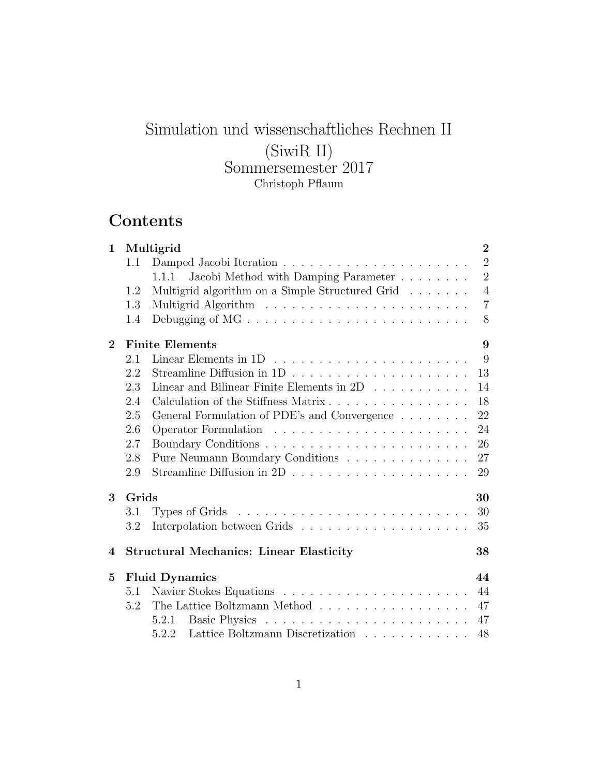# Simulation und wissenschaftliches Rechnen II (SiwiR II) Sommersemester 2017 Christoph Pflaum

# **Contents**

| $\mathbf 1$    | Multigrid<br>$\overline{2}$ |                                                                                                 |                |  |  |  |  |  |  |
|----------------|-----------------------------|-------------------------------------------------------------------------------------------------|----------------|--|--|--|--|--|--|
|                | 1.1                         |                                                                                                 | $\overline{2}$ |  |  |  |  |  |  |
|                |                             | Jacobi Method with Damping Parameter<br>1.1.1                                                   | $\overline{2}$ |  |  |  |  |  |  |
|                | 1.2                         | Multigrid algorithm on a Simple Structured Grid                                                 | $\overline{4}$ |  |  |  |  |  |  |
|                | 1.3                         |                                                                                                 | $\overline{7}$ |  |  |  |  |  |  |
|                | 1.4                         |                                                                                                 | 8              |  |  |  |  |  |  |
| $\bf{2}$       |                             | <b>Finite Elements</b>                                                                          | 9              |  |  |  |  |  |  |
|                | 2.1                         |                                                                                                 | 9              |  |  |  |  |  |  |
|                | 2.2                         |                                                                                                 | 13             |  |  |  |  |  |  |
|                | 2.3                         | Linear and Bilinear Finite Elements in 2D                                                       | 14             |  |  |  |  |  |  |
|                | 2.4                         | Calculation of the Stiffness Matrix                                                             | 18             |  |  |  |  |  |  |
|                | 2.5                         | General Formulation of PDE's and Convergence                                                    | 22             |  |  |  |  |  |  |
|                | 2.6                         |                                                                                                 | 24             |  |  |  |  |  |  |
|                | 2.7                         |                                                                                                 | 26             |  |  |  |  |  |  |
|                | 2.8                         | Pure Neumann Boundary Conditions                                                                | 27             |  |  |  |  |  |  |
|                | 2.9                         | Streamline Diffusion in 2D $\ldots \ldots \ldots \ldots \ldots \ldots \ldots$                   | 29             |  |  |  |  |  |  |
| 3              | Grids                       |                                                                                                 | 30             |  |  |  |  |  |  |
|                | 3.1                         |                                                                                                 | 30             |  |  |  |  |  |  |
|                | 3.2                         |                                                                                                 | 35             |  |  |  |  |  |  |
| 4              |                             | <b>Structural Mechanics: Linear Elasticity</b>                                                  | 38             |  |  |  |  |  |  |
| $\overline{5}$ |                             | <b>Fluid Dynamics</b>                                                                           | 44             |  |  |  |  |  |  |
|                | 5.1                         |                                                                                                 | 44             |  |  |  |  |  |  |
|                | 5.2                         | The Lattice Boltzmann Method $\;\ldots\; \ldots\; \ldots\; \ldots\; \ldots\; \ldots\; \ldots\;$ | 47             |  |  |  |  |  |  |
|                |                             | 5.2.1                                                                                           | 47             |  |  |  |  |  |  |
|                |                             | Lattice Boltzmann Discretization<br>5.2.2                                                       | 48             |  |  |  |  |  |  |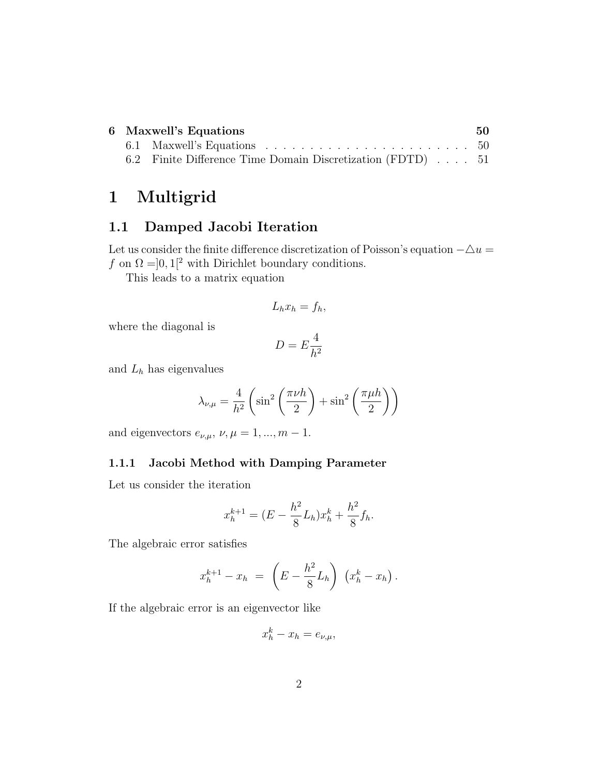| 6 Maxwell's Equations |                                                                                      |  |  |  |  |  |
|-----------------------|--------------------------------------------------------------------------------------|--|--|--|--|--|
|                       | 6.1 Maxwell's Equations $\ldots \ldots \ldots \ldots \ldots \ldots \ldots \ldots 50$ |  |  |  |  |  |
|                       | 6.2 Finite Difference Time Domain Discretization (FDTD) 51                           |  |  |  |  |  |

# **1 Multigrid**

## **1.1 Damped Jacobi Iteration**

Let us consider the finite difference discretization of Poisson's equation *−△u* = *f* on  $\Omega = ]0,1[^2$  with Dirichlet boundary conditions.

This leads to a matrix equation

$$
L_h x_h = f_h,
$$

where the diagonal is

$$
D = E\frac{4}{h^2}
$$

and *L<sup>h</sup>* has eigenvalues

$$
\lambda_{\nu,\mu} = \frac{4}{h^2} \left( \sin^2 \left( \frac{\pi \nu h}{2} \right) + \sin^2 \left( \frac{\pi \mu h}{2} \right) \right)
$$

and eigenvectors  $e_{\nu,\mu}$ ,  $\nu, \mu = 1, ..., m - 1$ .

#### **1.1.1 Jacobi Method with Damping Parameter**

Let us consider the iteration

$$
x_h^{k+1} = (E - \frac{h^2}{8}L_h)x_h^k + \frac{h^2}{8}f_h.
$$

The algebraic error satisfies

$$
x_h^{k+1} - x_h = \left( E - \frac{h^2}{8} L_h \right) \left( x_h^k - x_h \right).
$$

If the algebraic error is an eigenvector like

$$
x_h^k - x_h = e_{\nu,\mu},
$$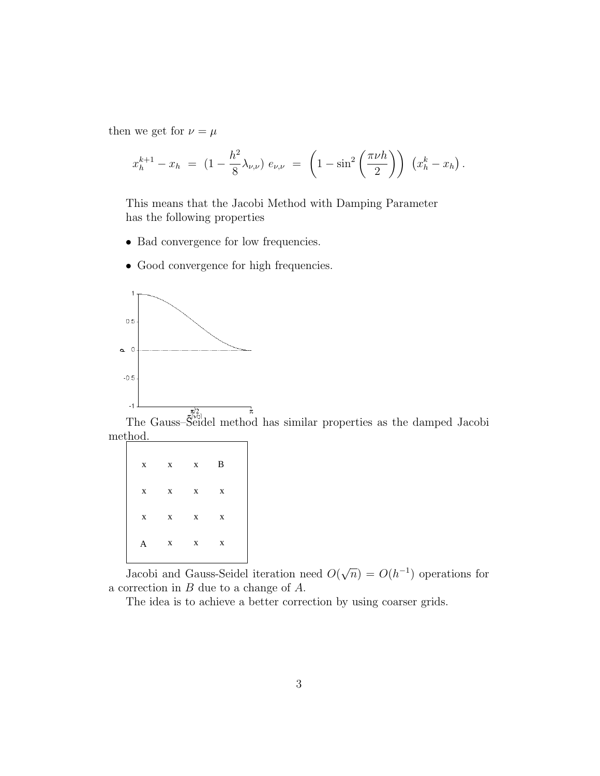then we get for  $\nu = \mu$ 

$$
x_h^{k+1} - x_h = (1 - \frac{h^2}{8} \lambda_{\nu,\nu}) e_{\nu,\nu} = \left(1 - \sin^2\left(\frac{\pi \nu h}{2}\right)\right) \left(x_h^k - x_h\right).
$$

This means that the Jacobi Method with Damping Parameter has the following properties

- *•* Bad convergence for low frequencies.
- Good convergence for high frequencies.



The Gauss–Seidel method has similar properties as the damped Jacobi method.

|   | $x \times x \times B$ |  |  |
|---|-----------------------|--|--|
|   | $X$ $X$ $X$ $X$       |  |  |
|   | $X$ $X$ $X$ $X$       |  |  |
| A | $X$ $X$ $X$           |  |  |
|   |                       |  |  |

Jacobi and Gauss-Seidel iteration need *O*( *√*  $\overline{n}$  =  $O(h^{-1})$  operations for a correction in *B* due to a change of *A*.

The idea is to achieve a better correction by using coarser grids.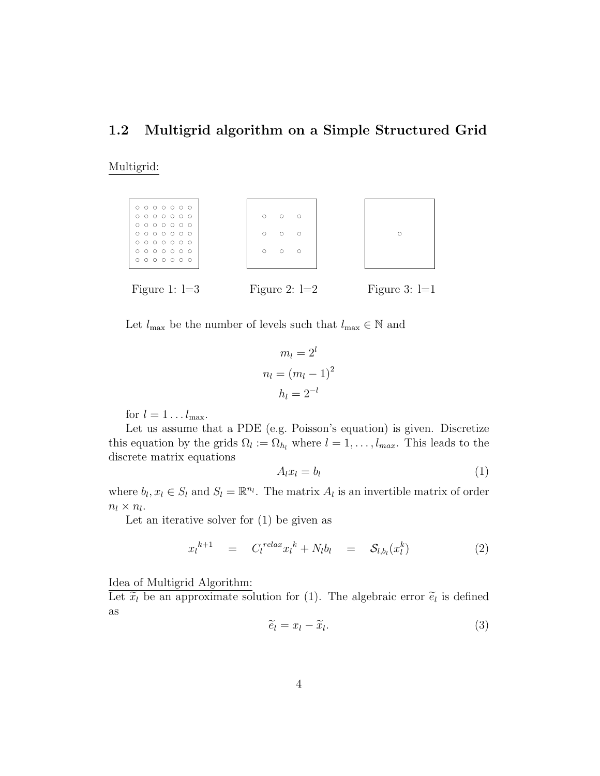## **1.2 Multigrid algorithm on a Simple Structured Grid**

Multigrid:



Let  $l_{\max}$  be the number of levels such that  $l_{\max} \in \mathbb{N}$  and

$$
m_l = 2^l
$$

$$
n_l = (m_l - 1)^2
$$

$$
h_l = 2^{-l}
$$

for  $l = 1 \dots l_{\text{max}}$ .

Let us assume that a PDE (e.g. Poisson's equation) is given. Discretize this equation by the grids  $\Omega_l := \Omega_{h_l}$  where  $l = 1, \ldots, l_{max}$ . This leads to the discrete matrix equations

$$
A_l x_l = b_l \tag{1}
$$

where  $b_l, x_l \in S_l$  and  $S_l = \mathbb{R}^{n_l}$ . The matrix  $A_l$  is an invertible matrix of order  $n_l \times n_l$ .

Let an iterative solver for (1) be given as

$$
x_l^{k+1} = C_l^{relax} x_l^k + N_l b_l = \mathcal{S}_{l,b_l}(x_l^k)
$$
 (2)

Idea of Multigrid Algorithm:

Let  $\tilde{x}_l$  be an approximate solution for (1). The algebraic error  $\tilde{e}_l$  is defined as

$$
\widetilde{e}_l = x_l - \widetilde{x}_l. \tag{3}
$$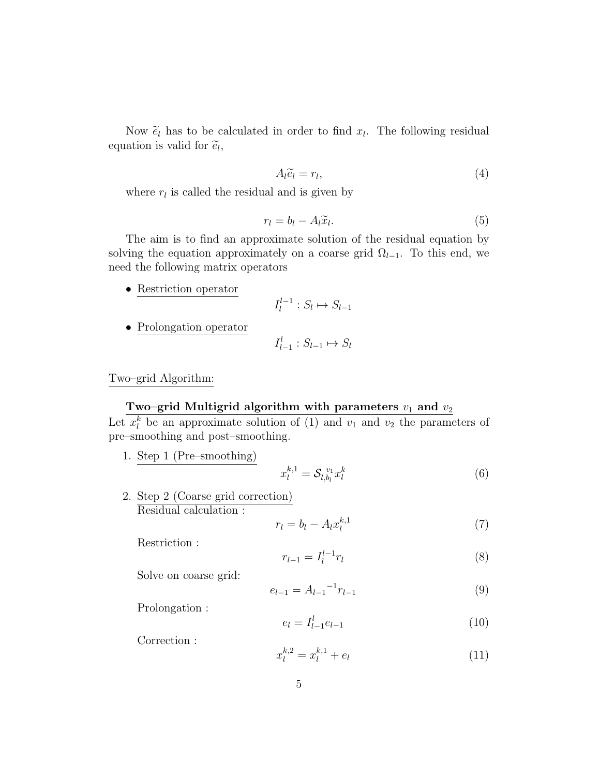Now  $\tilde{e}_l$  has to be calculated in order to find  $x_l$ . The following residual ation is valid for  $\tilde{e}_l$ . equation is valid for  $\tilde{e}_l$ ,

$$
A_l \tilde{e}_l = r_l,\tag{4}
$$

where  $r_l$  is called the residual and is given by

$$
r_l = b_l - A_l \widetilde{x}_l. \tag{5}
$$

The aim is to find an approximate solution of the residual equation by solving the equation approximately on a coarse grid  $\Omega$ <sub>*l*−1</sub>. To this end, we need the following matrix operators

• Restriction operator

$$
I_l^{l-1}: S_l \mapsto S_{l-1}
$$

*•* Prolongation operator

$$
I_{l-1}^l: S_{l-1} \mapsto S_l
$$

Two–grid Algorithm:

### **Two–grid Multigrid algorithm with parameters**  $v_1$  and  $v_2$

Let  $x_i^k$  be an approximate solution of (1) and  $v_1$  and  $v_2$  the parameters of pre–smoothing and post–smoothing.

1. Step 1 (Pre–smoothing)

$$
x_l^{k,1} = \mathcal{S}_{l,b_l} x_l^k \tag{6}
$$

2. Step 2 (Coarse grid correction) Residual calculation :

$$
r_l = b_l - A_l x_l^{k,1} \tag{7}
$$

Restriction :

$$
r_{l-1} = I_l^{l-1} r_l \tag{8}
$$

Solve on coarse grid:

$$
e_{l-1} = A_{l-1}^{-1} r_{l-1} \tag{9}
$$

Prolongation :

$$
e_l = I_{l-1}^l e_{l-1} \tag{10}
$$

Correction :

$$
x_l^{k,2} = x_l^{k,1} + e_l \tag{11}
$$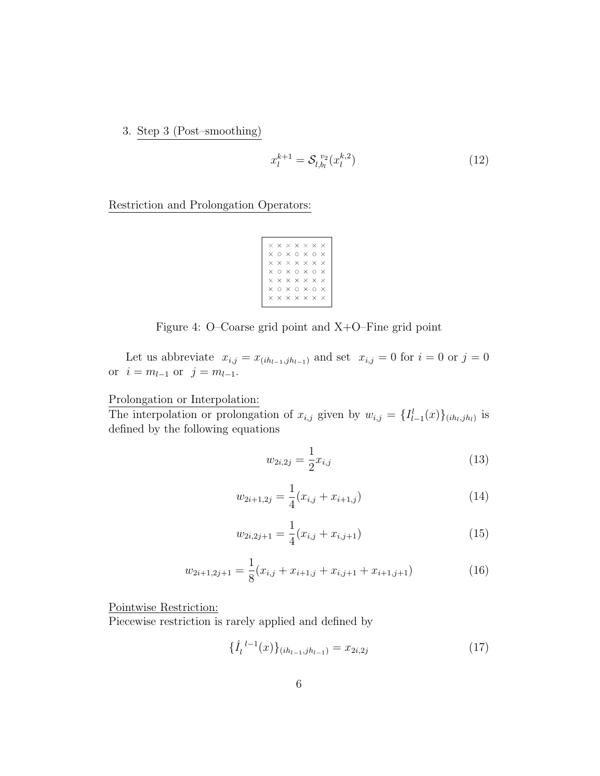3. Step 3 (Post–smoothing)

$$
x_l^{k+1} = \mathcal{S}_{l,b_l}^{v_2}(x_l^{k,2})
$$
\n(12)

Restriction and Prolongation Operators:

|          |  | $\times$ $\times$ $\times$ $\times$ $\times$ $\times$ |              |  |
|----------|--|-------------------------------------------------------|--------------|--|
| ×.       |  | $0 \times 0 \times 0$                                 | $\mathsf{X}$ |  |
| $\times$ |  | $\times$ $\times$ $\times$ $\times$ $\times$          |              |  |
|          |  | хохохо                                                | $\mathsf{x}$ |  |
|          |  | $\times$ $\times$ $\times$ $\times$ $\times$ $\times$ |              |  |
| ×        |  | $0 \times 0 \times 0$                                 | $\times$     |  |
| $\times$ |  | $\times$ $\times$ $\times$ $\times$ $\times$          |              |  |
|          |  |                                                       |              |  |

Figure 4: O–Coarse grid point and X+O–Fine grid point

Let us abbreviate  $x_{i,j} = x_{(ih_{l-1}, jh_{l-1})}$  and set  $x_{i,j} = 0$  for  $i = 0$  or  $j = 0$ or  $i = m_{l-1}$  or  $j = m_{l-1}$ .

Prolongation or Interpolation:

The interpolation or prolongation of  $x_{i,j}$  given by  $w_{i,j} = \{I^l_{l-1}(x)\}_{(ih_l,jh_l)}$  is defined by the following equations

$$
w_{2i,2j} = \frac{1}{2}x_{i,j} \tag{13}
$$

$$
w_{2i+1,2j} = \frac{1}{4}(x_{i,j} + x_{i+1,j})
$$
\n(14)

$$
w_{2i,2j+1} = \frac{1}{4}(x_{i,j} + x_{i,j+1})
$$
\n(15)

$$
w_{2i+1,2j+1} = \frac{1}{8}(x_{i,j} + x_{i+1,j} + x_{i,j+1} + x_{i+1,j+1})
$$
\n(16)

Pointwise Restriction:

Piecewise restriction is rarely applied and defined by

$$
\{\dot{I}_l^{\ l-1}(x)\}_{(ih_{l-1},jh_{l-1})} = x_{2i,2j} \tag{17}
$$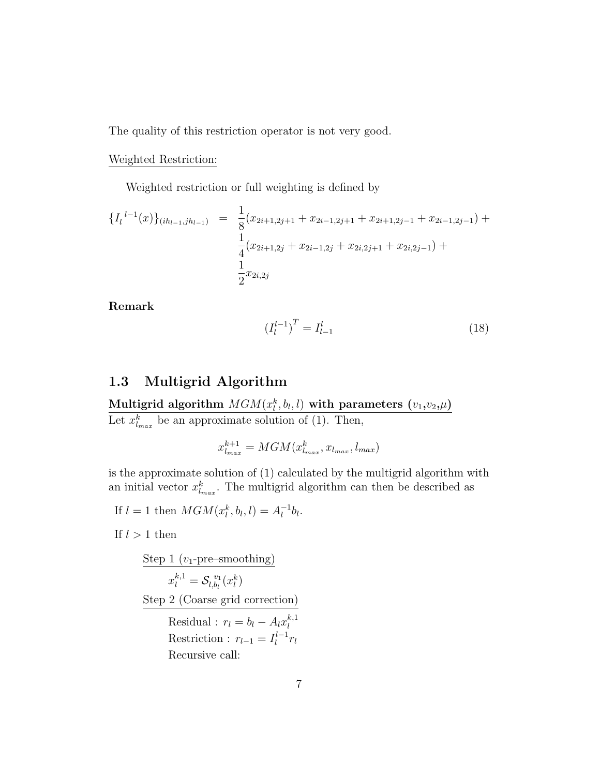The quality of this restriction operator is not very good.

#### Weighted Restriction:

Weighted restriction or full weighting is defined by

$$
\{I_{l}^{l-1}(x)\}_{(ih_{l-1},jh_{l-1})} = \frac{1}{8}(x_{2i+1,2j+1} + x_{2i-1,2j+1} + x_{2i+1,2j-1} + x_{2i-1,2j-1}) + \frac{1}{4}(x_{2i+1,2j} + x_{2i-1,2j} + x_{2i,2j+1} + x_{2i,2j-1}) + \frac{1}{2}x_{2i,2j}
$$

**Remark**

$$
\left(I_l^{l-1}\right)^T = I_{l-1}^l \tag{18}
$$

## **1.3 Multigrid Algorithm**

 $\bm{\mathrm{Multigrid}}$  algorithm  $\mathit{MGM}(x_l^k, b_l, l)$  with parameters  $(v_1, v_2, \mu)$ Let  $x_{l_{max}}^k$  be an approximate solution of (1). Then,

$$
x_{l_{max}}^{k+1} = MGM(x_{l_{max}}^k, x_{l_{max}}, l_{max})
$$

is the approximate solution of (1) calculated by the multigrid algorithm with an initial vector  $x_{l_{max}}^k$ . The multigrid algorithm can then be described as

If  $l = 1$  then  $MGM(x_l^k, b_l, l) = A_l^{-1}b_l$ .

If  $l > 1$  then

| $\frac{\text{Step 1 (v_1-pre-smoothing)}}{x_l^{k,1} = \mathcal{S}_{l,b_l}^{v_1}(x_l^k)}$      |
|-----------------------------------------------------------------------------------------------|
| $\frac{\text{Step 2 (Coarse grid correction)}}{\text{Residual : } r_l = b_l - A_l x_l^{k,1}}$ |
| Restriction : $r_{l-1} = I_l^{l-1} r_l$                                                       |
| Recursive call:                                                                               |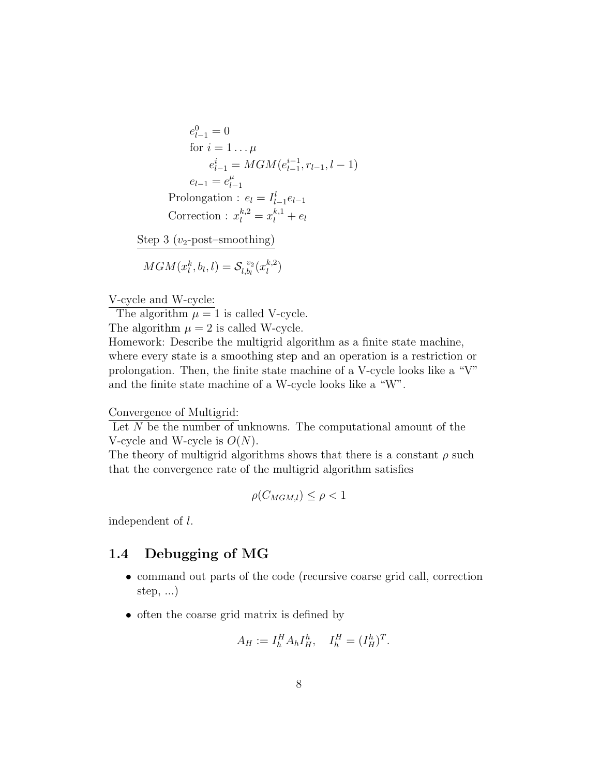$$
e_{l-1}^{0} = 0
$$
  
for  $i = 1... \mu$   

$$
e_{l-1}^{i} = MGM(e_{l-1}^{i-1}, r_{l-1}, l-1)
$$
  

$$
e_{l-1} = e_{l-1}^{\mu}
$$
  
Prolongation :  $e_l = I_{l-1}^{l} e_{l-1}$   
Correction :  $x_l^{k,2} = x_l^{k,1} + e_l$   
Step 3 ( $v_2$ -post-smoothing)

$$
MGM(x_l^k,b_l,l)=\mathcal{S}_{l,b_l}^{\ v_2}(x_l^{k,2})
$$

V-cycle and W-cycle:

The algorithm  $\mu = 1$  is called V-cycle.

The algorithm  $\mu = 2$  is called W-cycle.

Homework: Describe the multigrid algorithm as a finite state machine, where every state is a smoothing step and an operation is a restriction or prolongation. Then, the finite state machine of a V-cycle looks like a "V" and the finite state machine of a W-cycle looks like a "W".

#### Convergence of Multigrid:

Let *N* be the number of unknowns. The computational amount of the V-cycle and W-cycle is *O*(*N*).

The theory of multigrid algorithms shows that there is a constant  $\rho$  such that the convergence rate of the multigrid algorithm satisfies

$$
\rho(C_{MGM,l}) \le \rho < 1
$$

independent of *l*.

## **1.4 Debugging of MG**

- command out parts of the code (recursive coarse grid call, correction step, ...)
- often the coarse grid matrix is defined by

$$
A_H := I_h^H A_h I_H^h, \quad I_h^H = (I_H^h)^T.
$$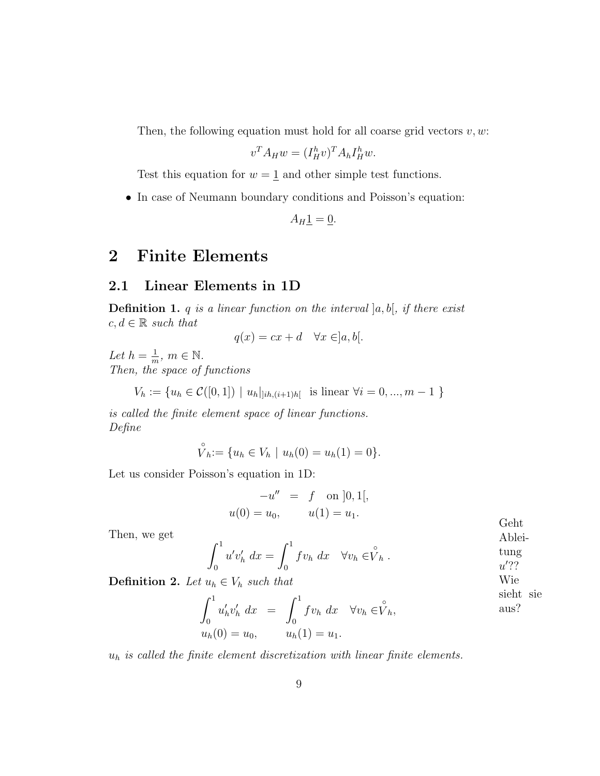Then, the following equation must hold for all coarse grid vectors *v, w*:

$$
v^T A_H w = (I_H^h v)^T A_h I_H^h w.
$$

Test this equation for  $w = \underline{1}$  and other simple test functions.

• In case of Neumann boundary conditions and Poisson's equation:

 $A_H1 = 0.$ 

# **2 Finite Elements**

### **2.1 Linear Elements in 1D**

**Definition 1.** *q is a linear function on the interval* ]*a, b*[*, if there exist*  $c, d \in \mathbb{R}$  *such that* 

 $q(x) = cx + d \quad \forall x \in ]a, b[$ .

Let  $h = \frac{1}{m}$  $\frac{1}{m}$ *, m*  $\in \mathbb{N}$ *. Then, the space of functions*

 $V_h := \{u_h \in \mathcal{C}([0,1]) \mid u_h|_{[ih,(i+1)h]}$  is linear  $\forall i = 0, ..., m-1 \}$ 

*is called the finite element space of linear functions. Define*

$$
\hat{V}_h := \{ u_h \in V_h \mid u_h(0) = u_h(1) = 0 \}.
$$

Let us consider Poisson's equation in 1D:

$$
-u'' = f \text{ on } ]0,1[,
$$
  
 
$$
u(0) = u_0, \qquad u(1) = u_1.
$$

Then, we get

$$
\int_0^1 u' v'_h dx = \int_0^1 f v_h dx \quad \forall v_h \in \stackrel{\circ}{V}_h .
$$

**Definition 2.** *Let*  $u_h \in V_h$  *such that* 

$$
\int_0^1 u'_h v'_h dx = \int_0^1 f v_h dx \quad \forall v_h \in \stackrel{\circ}{V}_h,
$$
\n
$$
u_h(0) = u_0, \qquad u_h(1) = u_1.
$$
\nHint:  $\text{Solution}$ 

*u<sup>h</sup> is called the finite element discretization with linear finite elements.*

Geht Ablei-

Wie sieht sie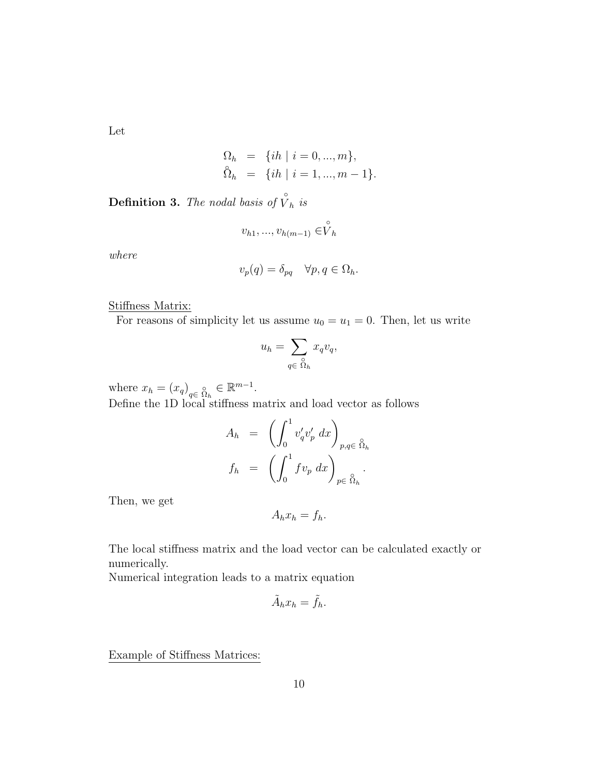Let

$$
\Omega_h = \{ih \mid i = 0, ..., m\},\
$$
  

$$
\hat{\Omega}_h = \{ih \mid i = 1, ..., m - 1\}.
$$

**Definition 3.** The nodal basis of  $\hat{V}_h$  is

$$
v_{h1},...,v_{h(m-1)} \in \stackrel{\circ}{V}_h
$$

*where*

$$
v_p(q) = \delta_{pq} \quad \forall p, q \in \Omega_h.
$$

Stiffness Matrix:

For reasons of simplicity let us assume  $u_0 = u_1 = 0$ . Then, let us write

$$
u_h = \sum_{q \in \Omega_h} x_q v_q,
$$

where  $x_h = (x_q)_{q \in \Omega_h} \in \mathbb{R}^{m-1}$ .

Define the 1D local stiffness matrix and load vector as follows

$$
A_h = \left( \int_0^1 v'_q v'_p dx \right)_{p,q \in \mathring{\Omega}_h}
$$
  

$$
f_h = \left( \int_0^1 f v_p dx \right)_{p \in \mathring{\Omega}_h}.
$$

Then, we get

$$
A_h x_h = f_h.
$$

The local stiffness matrix and the load vector can be calculated exactly or numerically.

Numerical integration leads to a matrix equation

$$
\tilde{A}_h x_h = \tilde{f}_h.
$$

Example of Stiffness Matrices: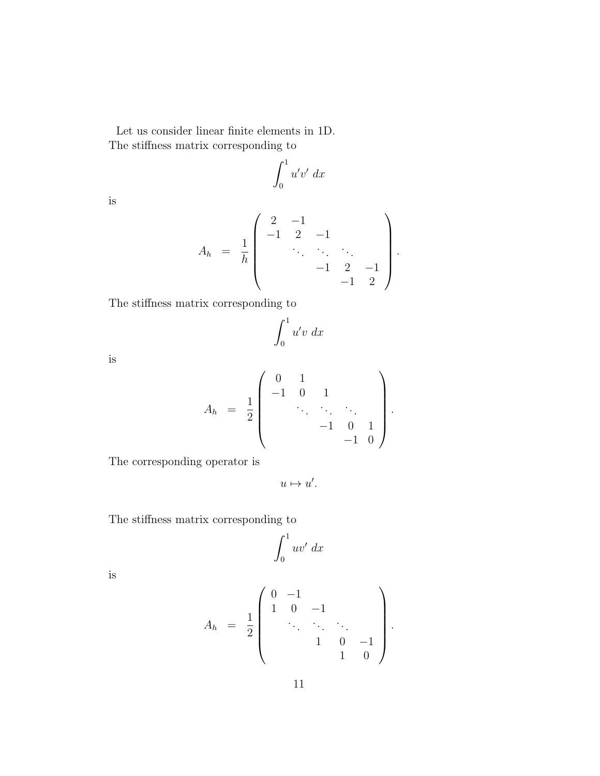Let us consider linear finite elements in 1D. The stiffness matrix corresponding to

$$
\int_0^1 u'v' \ dx
$$

is

$$
A_h = \frac{1}{h} \begin{pmatrix} 2 & -1 & & & \\ -1 & 2 & -1 & & \\ & & \ddots & \ddots & \\ & & & -1 & 2 & -1 \\ & & & & -1 & 2 \end{pmatrix}.
$$

The stiffness matrix corresponding to

$$
\int_0^1 u'v\ dx
$$

is

$$
A_h = \frac{1}{2} \begin{pmatrix} 0 & 1 & & & \\ -1 & 0 & 1 & & \\ & \ddots & \ddots & \ddots & \\ & & -1 & 0 & 1 \\ & & & -1 & 0 \end{pmatrix}.
$$

The corresponding operator is

$$
u\mapsto u'.
$$

The stiffness matrix corresponding to

$$
\int_0^1 uv' \ dx
$$

is

$$
A_h = \frac{1}{2} \begin{pmatrix} 0 & -1 & & & \\ 1 & 0 & -1 & & \\ & \ddots & \ddots & \ddots & \\ & & 1 & 0 & -1 \\ & & & 1 & 0 \end{pmatrix}.
$$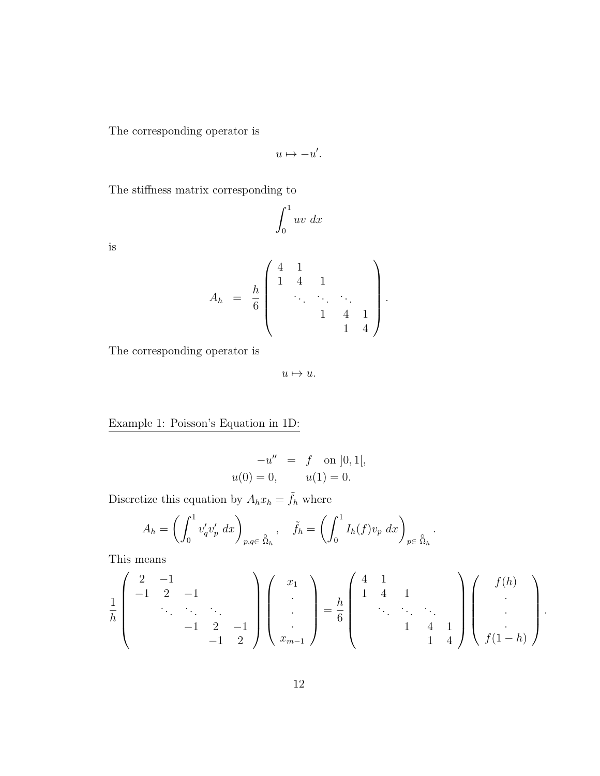The corresponding operator is

$$
u \mapsto -u'.
$$

The stiffness matrix corresponding to

$$
\int_0^1 uv \ dx
$$

is

$$
A_h = \frac{h}{6} \begin{pmatrix} 4 & 1 & & & \\ 1 & 4 & 1 & & \\ & \ddots & \ddots & \ddots & \\ & & 1 & 4 & 1 \\ & & & 1 & 4 \end{pmatrix}.
$$

The corresponding operator is

 $u \mapsto u.$ 

Example 1: Poisson's Equation in 1D:

$$
-u'' = f \text{ on } ]0,1[,
$$
  
 
$$
u(0) = 0, \qquad u(1) = 0.
$$

Discretize this equation by  $A_h x_h = \tilde{f}_h$  where

$$
A_h = \left(\int_0^1 v'_q v'_p dx\right)_{p,q \in \hat{\Omega}_h}, \quad \tilde{f}_h = \left(\int_0^1 I_h(f) v_p dx\right)_{p \in \hat{\Omega}_h}.
$$

This means

$$
\frac{1}{h} \begin{pmatrix} 2 & -1 & & & \\ -1 & 2 & -1 & & \\ & \ddots & \ddots & \ddots & \\ & & -1 & 2 & -1 \\ & & & -1 & 2 \end{pmatrix} \begin{pmatrix} x_1 \\ \vdots \\ x_{m-1} \end{pmatrix} = \frac{h}{6} \begin{pmatrix} 4 & 1 & & \\ 1 & 4 & 1 & \\ & \ddots & \ddots & \ddots \\ & & 1 & 4 & 1 \\ & & & 1 & 4 \end{pmatrix} \begin{pmatrix} f(h) \\ \vdots \\ f(1-h) \end{pmatrix}.
$$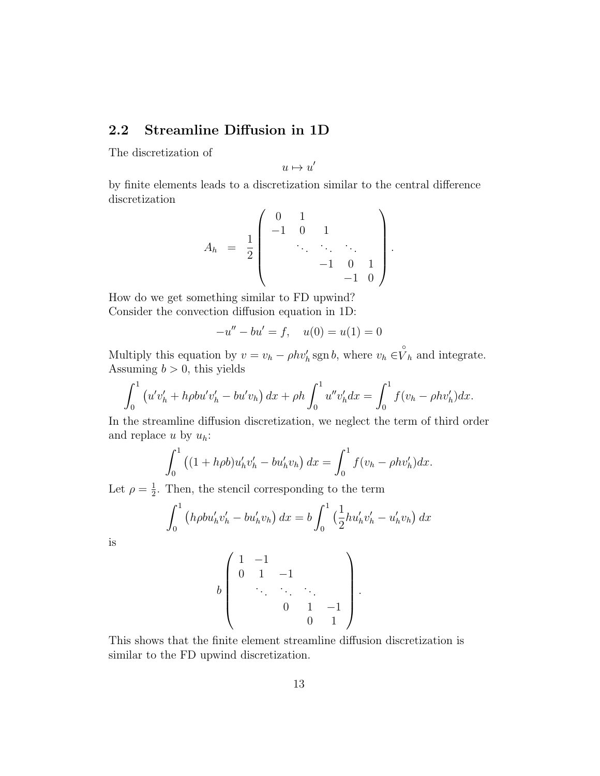## **2.2 Streamline Diffusion in 1D**

The discretization of

 $u \mapsto u'$ 

by finite elements leads to a discretization similar to the central difference discretization

$$
A_h = \frac{1}{2} \begin{pmatrix} 0 & 1 & & & \\ -1 & 0 & 1 & & \\ & \ddots & \ddots & \ddots & \\ & & -1 & 0 & 1 \\ & & & -1 & 0 \end{pmatrix}.
$$

How do we get something similar to FD upwind? Consider the convection diffusion equation in 1D:

$$
-u'' - bu' = f, \quad u(0) = u(1) = 0
$$

Multiply this equation by  $v = v_h - \rho h v'_h \operatorname{sgn} b$ , where  $v_h \in V_h$  and integrate. Assuming  $b > 0$ , this yields

$$
\int_0^1 (u'v'_h + h\rho bu'v'_h - bu'v_h) dx + \rho h \int_0^1 u''v'_h dx = \int_0^1 f(v_h - \rho hv'_h) dx.
$$

In the streamline diffusion discretization, we neglect the term of third order and replace *u* by *uh*:

$$
\int_0^1 ((1 + h\rho b)u_h'v_h' - bu_h'v_h) dx = \int_0^1 f(v_h - \rho hv_h') dx.
$$

Let  $\rho = \frac{1}{2}$  $\frac{1}{2}$ . Then, the stencil corresponding to the term

$$
\int_0^1 (h \rho b u'_h v'_h - b u'_h v_h) dx = b \int_0^1 \left(\frac{1}{2} h u'_h v'_h - u'_h v_h\right) dx
$$

is

$$
b \left( \begin{array}{cccc} 1 & -1 & & & \\ 0 & 1 & -1 & & \\ & \ddots & \ddots & \ddots & \\ & & 0 & 1 & -1 \\ & & & 0 & 1 \end{array} \right).
$$

This shows that the finite element streamline diffusion discretization is similar to the FD upwind discretization.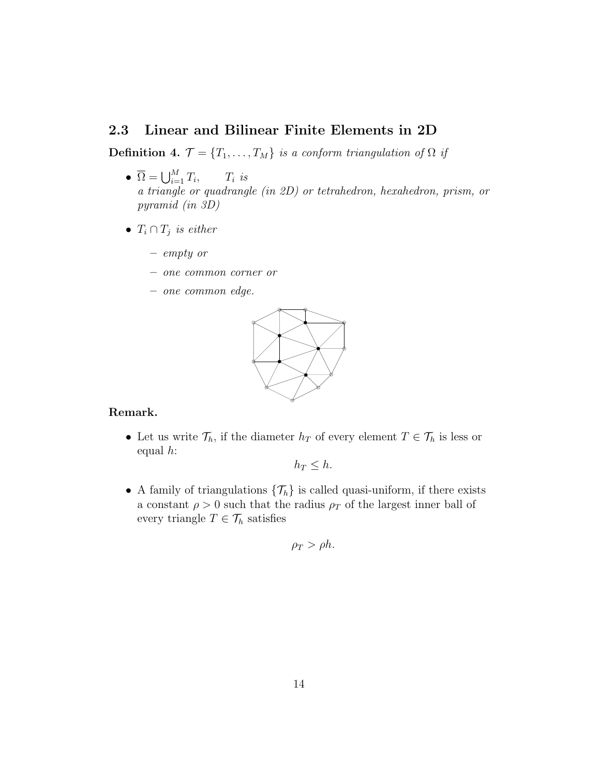### **2.3 Linear and Bilinear Finite Elements in 2D**

**Definition 4.**  $\mathcal{T} = \{T_1, \ldots, T_M\}$  *is a conform triangulation of*  $\Omega$  *if* 

- $\overline{\Omega} = \bigcup_{i=1}^M T_i$  $T_i$  *is a triangle or quadrangle (in 2D) or tetrahedron, hexahedron, prism, or pyramid (in 3D)*
- $T_i \cap T_j$  *is either* 
	- **–** *empty or*
	- **–** *one common corner or*
	- **–** *one common edge.*



#### **Remark.**

• Let us write  $\mathcal{T}_h$ , if the diameter  $h_T$  of every element  $T \in \mathcal{T}_h$  is less or equal *h*:

 $h_T \leq h$ .

• A family of triangulations  $\{\mathcal{T}_h\}$  is called quasi-uniform, if there exists a constant  $\rho > 0$  such that the radius  $\rho_T$  of the largest inner ball of every triangle  $T \in \mathcal{T}_h$  satisfies

$$
\rho_T > \rho h.
$$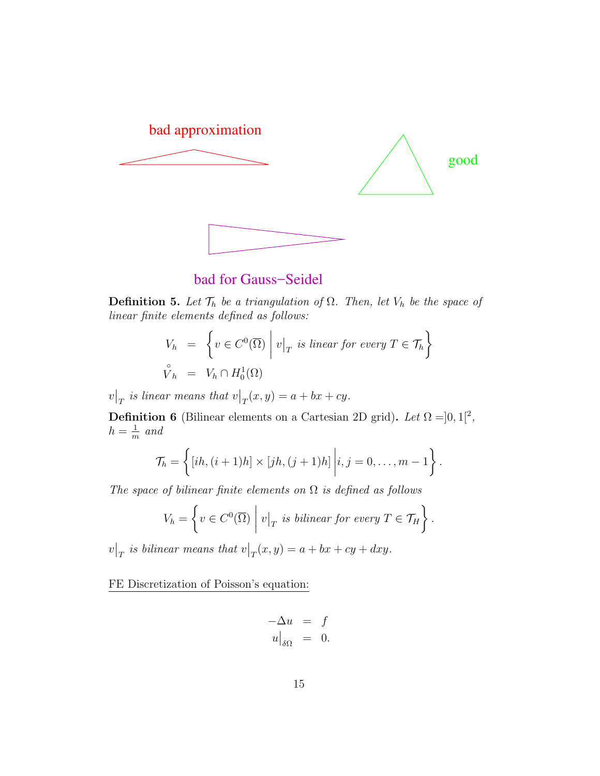

bad for Gauss−Seidel

**Definition 5.** Let  $\mathcal{T}_h$  be a triangulation of  $\Omega$ . Then, let  $V_h$  be the space of *linear finite elements defined as follows:*

$$
V_h = \left\{ v \in C^0(\overline{\Omega}) \middle| v \middle|_T \text{ is linear for every } T \in \mathcal{T}_h \right\}
$$
  

$$
\hat{V}_h = V_h \cap H_0^1(\Omega)
$$

 $\mathcal{V}|_T$  is linear means that  $\mathcal{V}|_T(x,y) = a + bx + cy$ .

**Definition 6** (Bilinear elements on a Cartesian 2D grid). *Let*  $\Omega = ]0,1[^2$ ,  $h=\frac{1}{n}$  $\frac{1}{m}$  and

$$
\mathcal{T}_h = \left\{ [ih, (i+1)h] \times [jh, (j+1)h] \middle| i, j = 0, \ldots, m-1 \right\}.
$$

*The space of bilinear finite elements on* Ω *is defined as follows*

$$
V_h = \left\{ v \in C^0(\overline{\Omega}) \mid v|_T \text{ is bilinear for every } T \in \mathcal{T}_H \right\}.
$$

 $\mathcal{V}|_T$  is bilinear means that  $\mathcal{V}|_T(x,y) = a + bx + cy + dxy$ .

FE Discretization of Poisson's equation:

$$
-\Delta u = f
$$
  

$$
u\big|_{\delta\Omega} = 0.
$$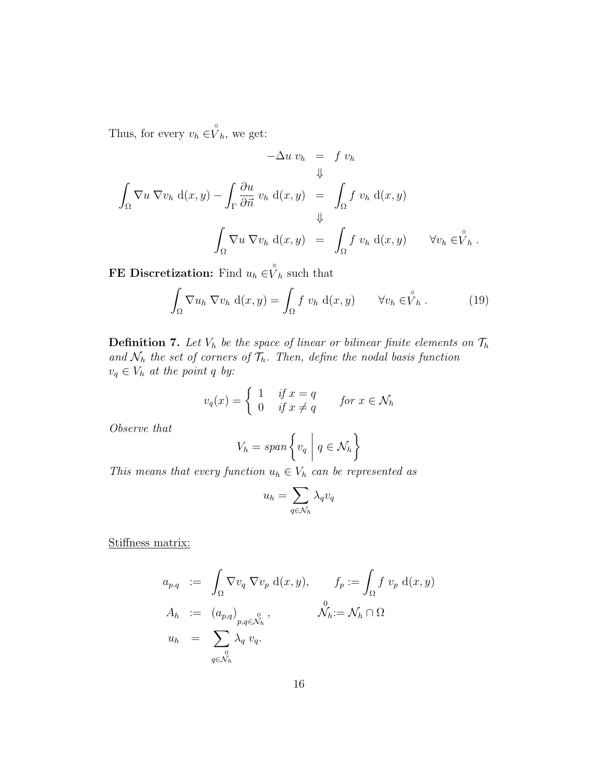Thus, for every  $v_h \in V_h$ , we get:

$$
-\Delta u \, v_h = f \, v_h
$$
  

$$
\Downarrow
$$
  

$$
\int_{\Omega} \nabla u \, \nabla v_h \, d(x, y) - \int_{\Gamma} \frac{\partial u}{\partial \vec{n}} \, v_h \, d(x, y) = \int_{\Omega} f \, v_h \, d(x, y)
$$
  

$$
\Downarrow
$$
  

$$
\int_{\Omega} \nabla u \, \nabla v_h \, d(x, y) = \int_{\Omega} f \, v_h \, d(x, y) \qquad \forall v_h \in \stackrel{\circ}{V}_h.
$$

**FE Discretization:** Find  $u_h \in V_h$  such that

$$
\int_{\Omega} \nabla u_h \nabla v_h \, d(x, y) = \int_{\Omega} f v_h \, d(x, y) \qquad \forall v_h \in \stackrel{\circ}{V}_h. \tag{19}
$$

**Definition 7.** Let  $V_h$  be the space of linear or bilinear finite elements on  $\mathcal{T}_h$ and  $\mathcal{N}_h$  the set of corners of  $\mathcal{T}_h$ *. Then, define the nodal basis function*  $v_q \in V_h$  *at the point q by:* 

$$
v_q(x) = \begin{cases} 1 & \text{if } x = q \\ 0 & \text{if } x \neq q \end{cases} \quad \text{for } x \in \mathcal{N}_h
$$

*Observe that*

$$
V_h = \operatorname{span}\left\{v_q \mid q \in \mathcal{N}_h\right\}
$$

*This means that every function*  $u_h \in V_h$  *can be represented as* 

$$
u_h = \sum_{q \in \mathcal{N}_h} \lambda_q v_q
$$

Stiffness matrix:

$$
a_{p,q} := \int_{\Omega} \nabla v_q \nabla v_p d(x, y), \qquad f_p := \int_{\Omega} f v_p d(x, y)
$$
  
\n
$$
A_h := (a_{p,q})_{p,q \in \mathcal{N}_h}^0, \qquad \mathcal{N}_h := \mathcal{N}_h \cap \Omega
$$
  
\n
$$
u_h = \sum_{q \in \mathcal{N}_h} \lambda_q v_q.
$$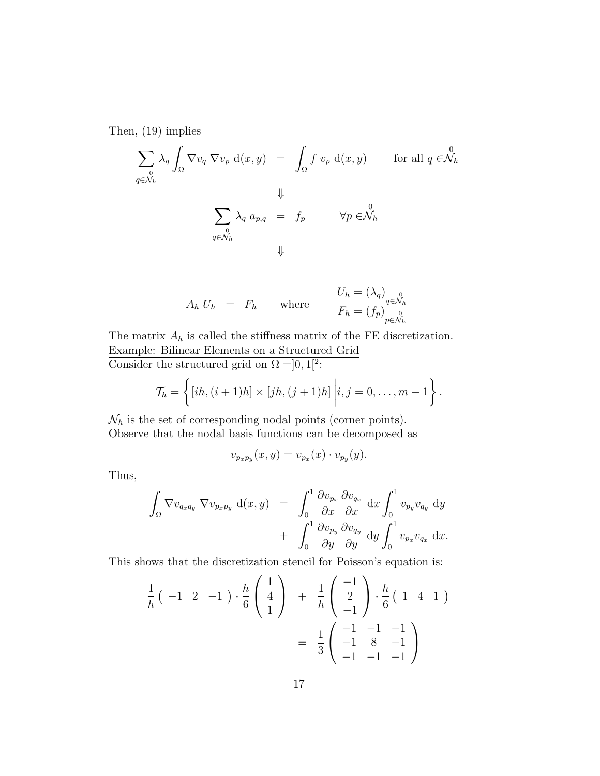Then, (19) implies

$$
\sum_{\substack{0\\ q \in \mathcal{N}_h}} \lambda_q \int_{\Omega} \nabla v_q \nabla v_p d(x, y) = \int_{\Omega} f v_p d(x, y) \quad \text{for all } q \in \mathcal{N}_h
$$
  

$$
\downarrow \qquad \qquad \downarrow
$$
  

$$
\sum_{q \in \mathcal{N}_h} \lambda_q a_{p,q} = f_p \qquad \forall p \in \mathcal{N}_h
$$
  

$$
\downarrow \qquad \qquad \downarrow
$$

$$
A_h U_h = F_h \quad \text{where} \quad\n\begin{aligned}\nU_h &= (\lambda_q)_{q \in \mathcal{N}_h} \\
F_h &= (f_p)_{p \in \mathcal{N}_h}^0\n\end{aligned}
$$

The matrix  $A_h$  is called the stiffness matrix of the FE discretization. Example: Bilinear Elements on a Structured Grid Consider the structured grid on  $\Omega = ]0,1[^2$ :

$$
\mathcal{T}_h = \left\{ [ih, (i+1)h] \times [jh, (j+1)h] \middle| i, j = 0, \ldots, m-1 \right\}.
$$

 $\mathcal{N}_h$  is the set of corresponding nodal points (corner points). Observe that the nodal basis functions can be decomposed as

$$
v_{p_xp_y}(x,y) = v_{p_x}(x) \cdot v_{p_y}(y).
$$

Thus,

$$
\int_{\Omega} \nabla v_{q_x q_y} \nabla v_{p_x p_y} d(x, y) = \int_0^1 \frac{\partial v_{p_x}}{\partial x} \frac{\partial v_{q_x}}{\partial x} dx \int_0^1 v_{p_y} v_{q_y} dy \n+ \int_0^1 \frac{\partial v_{p_y}}{\partial y} \frac{\partial v_{q_y}}{\partial y} dy \int_0^1 v_{p_x} v_{q_x} dx.
$$

This shows that the discretization stencil for Poisson's equation is:

$$
\frac{1}{h} \begin{pmatrix} -1 & 2 & -1 \end{pmatrix} \cdot \frac{h}{6} \begin{pmatrix} 1 \\ 4 \\ 1 \end{pmatrix} + \frac{1}{h} \begin{pmatrix} -1 \\ 2 \\ -1 \end{pmatrix} \cdot \frac{h}{6} \begin{pmatrix} 1 & 4 & 1 \end{pmatrix} = \frac{1}{3} \begin{pmatrix} -1 & -1 & -1 \\ -1 & 8 & -1 \\ -1 & -1 & -1 \end{pmatrix}
$$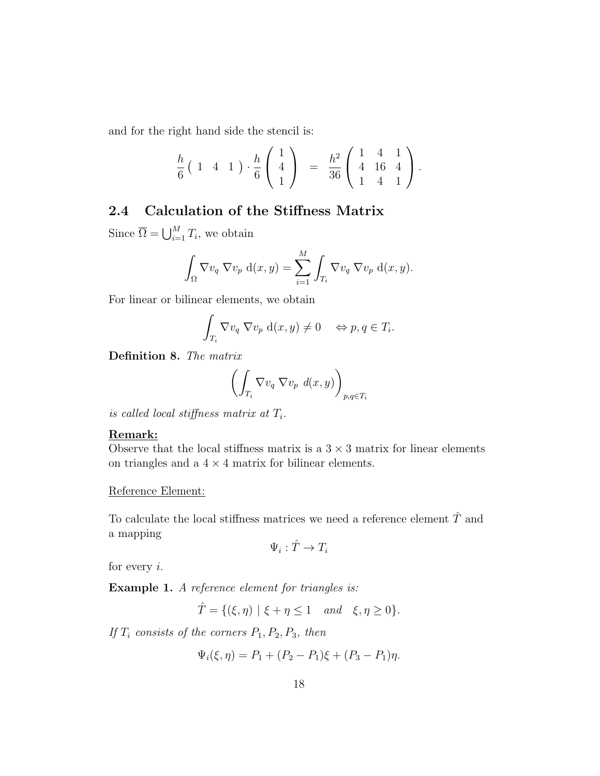and for the right hand side the stencil is:

$$
\frac{h}{6} \left( 1 \quad 4 \quad 1 \right) \cdot \frac{h}{6} \left( \begin{array}{c} 1 \\ 4 \\ 1 \end{array} \right) \quad = \quad \frac{h^2}{36} \left( \begin{array}{ccc} 1 & 4 & 1 \\ 4 & 16 & 4 \\ 1 & 4 & 1 \end{array} \right).
$$

## **2.4 Calculation of the Stiffness Matrix**

Since  $\overline{\Omega} = \bigcup_{i=1}^{M} T_i$ , we obtain

$$
\int_{\Omega} \nabla v_q \nabla v_p d(x, y) = \sum_{i=1}^{M} \int_{T_i} \nabla v_q \nabla v_p d(x, y).
$$

For linear or bilinear elements, we obtain

$$
\int_{T_i} \nabla v_q \nabla v_p d(x, y) \neq 0 \quad \Leftrightarrow p, q \in T_i.
$$

**Definition 8.** *The matrix*

$$
\left(\int_{T_i} \nabla v_q \nabla v_p \ d(x,y)\right)_{p,q \in T_i}
$$

*is called local stiffness matrix at Ti.*

#### **Remark:**

Observe that the local stiffness matrix is a  $3 \times 3$  matrix for linear elements on triangles and a  $4 \times 4$  matrix for bilinear elements.

Reference Element:

To calculate the local stiffness matrices we need a reference element *T*ˆ and a mapping

$$
\Psi_i: \hat{T} \to T_i
$$

for every *i*.

**Example 1.** *A reference element for triangles is:*

$$
\hat{T} = \{ (\xi, \eta) \mid \xi + \eta \le 1 \quad and \quad \xi, \eta \ge 0 \}.
$$

*If T<sup>i</sup> consists of the corners P*1*, P*2*, P*3*, then*

$$
\Psi_i(\xi, \eta) = P_1 + (P_2 - P_1)\xi + (P_3 - P_1)\eta.
$$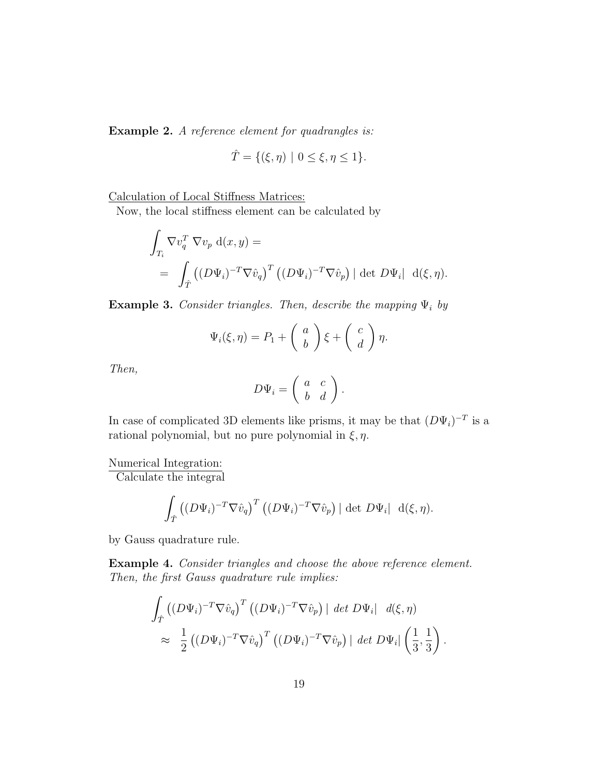**Example 2.** *A reference element for quadrangles is:*

$$
\hat{T} = \{ (\xi, \eta) \mid 0 \le \xi, \eta \le 1 \}.
$$

Calculation of Local Stiffness Matrices:

Now, the local stiffness element can be calculated by

$$
\int_{T_i} \nabla v_q^T \nabla v_p d(x, y) =
$$
\n
$$
= \int_{\hat{T}} \left( (D\Psi_i)^{-T} \nabla \hat{v}_q \right)^T \left( (D\Psi_i)^{-T} \nabla \hat{v}_p \right) |\det D\Psi_i| d(\xi, \eta).
$$

**Example 3.** *Consider triangles. Then, describe the mapping* Ψ*<sup>i</sup> by*

$$
\Psi_i(\xi, \eta) = P_1 + \left(\begin{array}{c} a \\ b \end{array}\right) \xi + \left(\begin{array}{c} c \\ d \end{array}\right) \eta.
$$

*Then,*

$$
D\Psi_i = \left(\begin{array}{cc} a & c \\ b & d \end{array}\right).
$$

In case of complicated 3D elements like prisms, it may be that  $(D\Psi_i)^{-T}$  is a rational polynomial, but no pure polynomial in *ξ, η*.

Numerical Integration:

Calculate the integral

$$
\int_{\hat{T}} \left( (D\Psi_i)^{-T} \nabla \hat{v}_q \right)^T \left( (D\Psi_i)^{-T} \nabla \hat{v}_p \right) |\det D\Psi_i| \, d(\xi, \eta).
$$

by Gauss quadrature rule.

**Example 4.** *Consider triangles and choose the above reference element. Then, the first Gauss quadrature rule implies:*

$$
\int_{\hat{T}} \left( (D\Psi_i)^{-T} \nabla \hat{v}_q \right)^T \left( (D\Psi_i)^{-T} \nabla \hat{v}_p \right) \mid \det D\Psi_i \mid \ d(\xi, \eta) \n\approx \frac{1}{2} \left( (D\Psi_i)^{-T} \nabla \hat{v}_q \right)^T \left( (D\Psi_i)^{-T} \nabla \hat{v}_p \right) \mid \det D\Psi_i \mid \left( \frac{1}{3}, \frac{1}{3} \right).
$$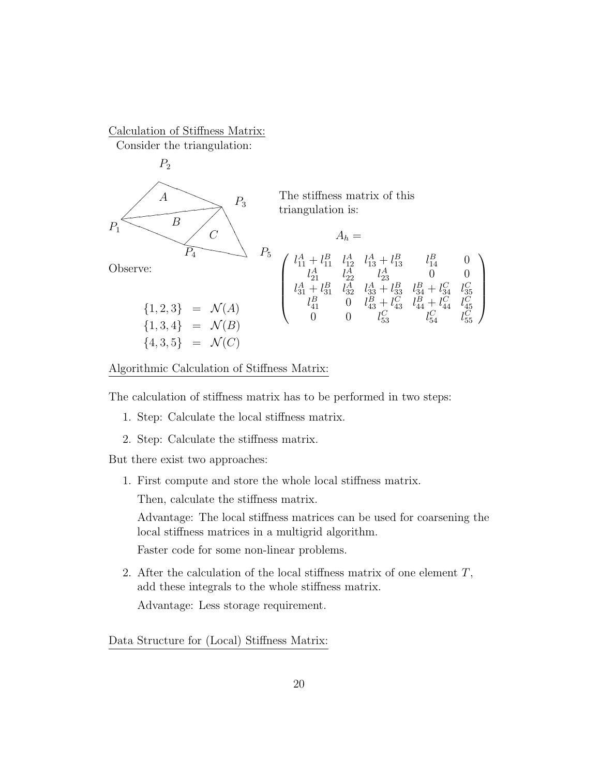Calculation of Stiffness Matrix: Consider the triangulation:



The stiffness matrix of this triangulation is:

e:  
\n
$$
P_4
$$
  
\n $P_5$   
\n $\begin{array}{c}\n\begin{array}{c}\n l_{11}^A + l_{11}^B & l_{12}^A & l_{13}^A + l_{13}^B & l_{14}^B & 0 \\
 l_{21}^A & l_{22}^A & l_{23}^A & 0 & 0 \\
 l_{31}^A + l_{31}^B & l_{32}^A & l_{33}^A + l_{33}^B & l_{34}^B + l_{34}^C & l_{35}^C \\
 l_{41}^B & 0 & l_{43}^B + l_{43}^C & l_{44}^C & l_{45}^C \\
 l_{41}^B & 0 & l_{43}^B + l_{43}^C & l_{44}^B + l_{44}^C & l_{45}^C \\
 l_{43}^B & 0 & l_{43}^C + l_{43}^C & l_{44}^C & l_{45}^C \\
 l_{43}^C & 0 & 0 & l_{53}^C & l_{54}^C\n\end{array}\n\end{array}$ 

Algorithmic Calculation of Stiffness Matrix:

The calculation of stiffness matrix has to be performed in two steps:

- 1. Step: Calculate the local stiffness matrix.
- 2. Step: Calculate the stiffness matrix.

But there exist two approaches:

1. First compute and store the whole local stiffness matrix.

Then, calculate the stiffness matrix.

Advantage: The local stiffness matrices can be used for coarsening the local stiffness matrices in a multigrid algorithm.

Faster code for some non-linear problems.

2. After the calculation of the local stiffness matrix of one element *T*, add these integrals to the whole stiffness matrix.

Advantage: Less storage requirement.

Data Structure for (Local) Stiffness Matrix: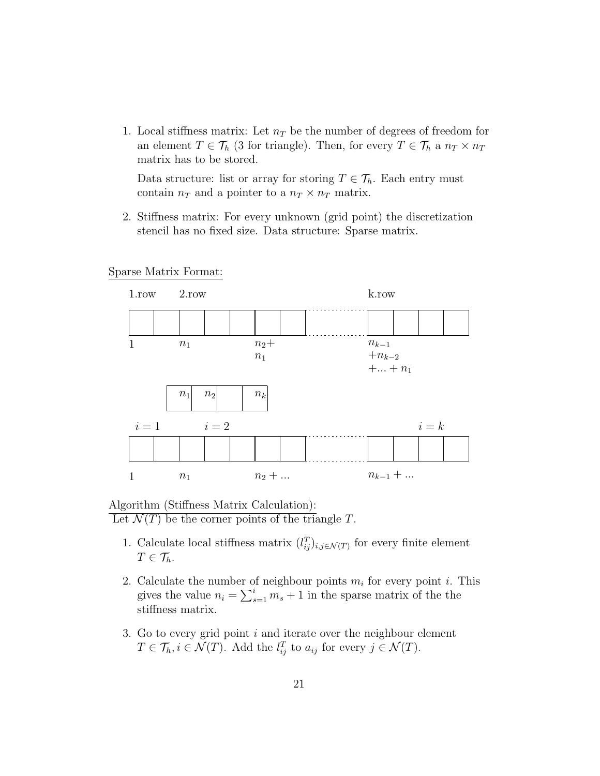1. Local stiffness matrix: Let  $n<sub>T</sub>$  be the number of degrees of freedom for an element  $T \in \mathcal{T}_h$  (3 for triangle). Then, for every  $T \in \mathcal{T}_h$  a  $n_T \times n_T$ matrix has to be stored.

Data structure: list or array for storing  $T \in \mathcal{T}_h$ . Each entry must contain  $n_T$  and a pointer to a  $n_T \times n_T$  matrix.

2. Stiffness matrix: For every unknown (grid point) the discretization stencil has no fixed size. Data structure: Sparse matrix.

#### Sparse Matrix Format:



#### Algorithm (Stiffness Matrix Calculation): Let  $\mathcal{N}(T)$  be the corner points of the triangle *T*.

- 1. Calculate local stiffness matrix  $(l_{ij}^T)_{i,j\in\mathcal{N}(T)}$  for every finite element  $T \in \mathcal{T}_h$ .
- 2. Calculate the number of neighbour points *m<sup>i</sup>* for every point *i*. This gives the value  $n_i = \sum_{s=1}^i m_s + 1$  in the sparse matrix of the the stiffness matrix.
- 3. Go to every grid point *i* and iterate over the neighbour element  $T \in \mathcal{T}_h, i \in \mathcal{N}(T)$ . Add the  $l_{ij}^T$  to  $a_{ij}$  for every  $j \in \mathcal{N}(T)$ .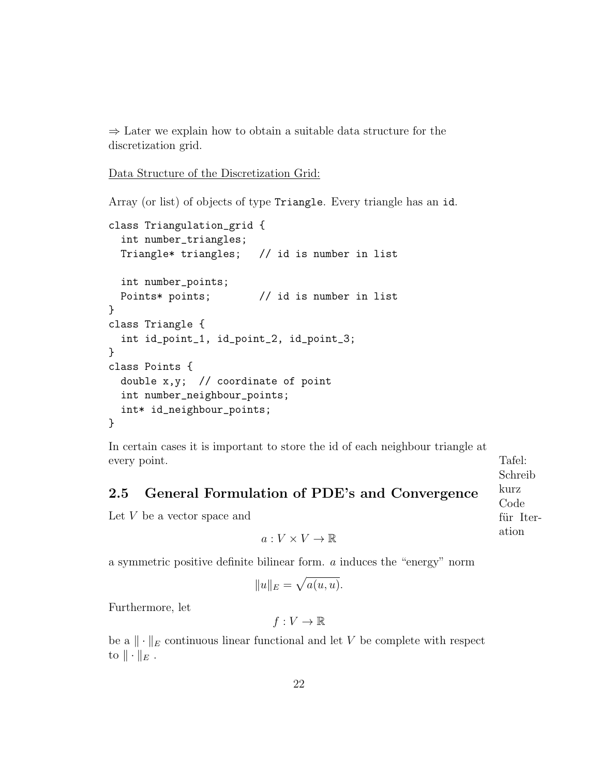*⇒* Later we explain how to obtain a suitable data structure for the discretization grid.

```
Data Structure of the Discretization Grid:
```
Array (or list) of objects of type Triangle. Every triangle has an id.

```
class Triangulation_grid {
  int number_triangles;
  Triangle* triangles; // id is number in list
  int number_points;
  Points* points; \frac{1}{1} id is number in list
}
class Triangle {
  int id_point_1, id_point_2, id_point_3;
}
class Points {
  double x,y; // coordinate of point
  int number_neighbour_points;
  int* id_neighbour_points;
}
```
In certain cases it is important to store the id of each neighbour triangle at every point. Tafel:

### **2.5 General Formulation of PDE's and Convergence**

Let *V* be a vector space and

 $a: V \times V \rightarrow \mathbb{R}$ 

a symmetric positive definite bilinear form. *a* induces the "energy" norm

$$
||u||_E = \sqrt{a(u, u)}.
$$

Furthermore, let

 $f: V \to \mathbb{R}$ 

be a *∥ · ∥<sup>E</sup>* continuous linear functional and let *V* be complete with respect to  $\|\cdot\|_E$ .

Schreib kurz Code für Iteration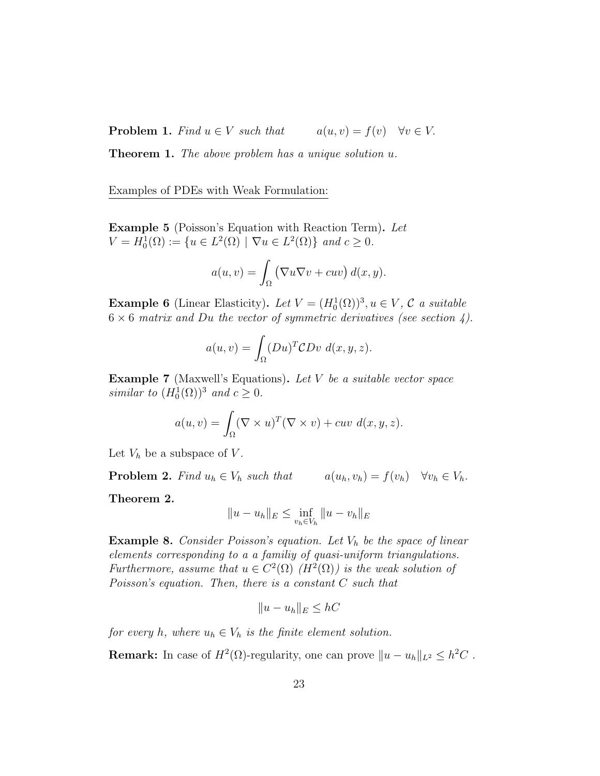**Problem 1.** Find  $u \in V$  such that  $a(u, v) = f(v)$   $\forall v \in V$ .

**Theorem 1.** *The above problem has a unique solution u.*

Examples of PDEs with Weak Formulation:

**Example 5** (Poisson's Equation with Reaction Term)**.** *Let*  $V = H_0^1(\Omega) := \{ u \in L^2(\Omega) \mid \nabla u \in L^2(\Omega) \}$  *and*  $c \ge 0$ *.* 

$$
a(u, v) = \int_{\Omega} (\nabla u \nabla v + cuv) d(x, y).
$$

**Example 6** (Linear Elasticity). Let  $V = (H_0^1(\Omega))^3, u \in V, C$  *a suitable*  $6 \times 6$  matrix and Du the vector of symmetric derivatives (see section 4).

$$
a(u, v) = \int_{\Omega} (Du)^{T} \mathcal{C}Dv \, d(x, y, z).
$$

**Example 7** (Maxwell's Equations)**.** *Let V be a suitable vector space similar to*  $(H_0^1(\Omega))^3$  *and*  $c \geq 0$ *.* 

$$
a(u, v) = \int_{\Omega} (\nabla \times u)^T (\nabla \times v) + cuv \, d(x, y, z).
$$

Let  $V_h$  be a subspace of  $V$ .

**Problem 2.** *Find*  $u_h \in V_h$  *such that*  $a(u_h, v_h) = f(v_h) \quad \forall v_h \in V_h$ .

**Theorem 2.**

$$
||u - u_h||_E \le \inf_{v_h \in V_h} ||u - v_h||_E
$$

**Example 8.** *Consider Poisson's equation. Let V<sup>h</sup> be the space of linear elements corresponding to a a familiy of quasi-uniform triangulations. Furthermore, assume that*  $u \in C^2(\Omega)$   $(H^2(\Omega))$  *is the weak solution of Poisson's equation. Then, there is a constant C such that*

$$
||u - u_h||_E \leq hC
$$

*for every h*, where  $u_h \in V_h$  *is the finite element solution.* 

**Remark:** In case of  $H^2(\Omega)$ -regularity, one can prove  $||u - u_h||_{L^2} \leq h^2C$ .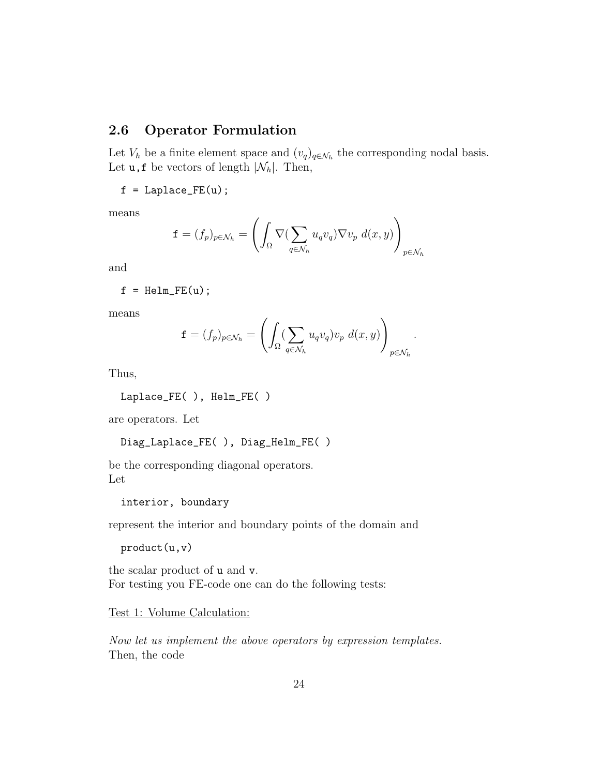## **2.6 Operator Formulation**

Let  $V_h$  be a finite element space and  $(v_q)_{q \in \mathcal{N}_h}$  the corresponding nodal basis. Let  $\mathbf{u}$ ,  $\mathbf{f}$  be vectors of length  $|\mathcal{N}_h|$ . Then,

 $f = Laplace_FE(u);$ 

means

$$
\mathbf{f} = (f_p)_{p \in \mathcal{N}_h} = \left( \int_{\Omega} \nabla (\sum_{q \in \mathcal{N}_h} u_q v_q) \nabla v_p \ d(x, y) \right)_{p \in \mathcal{N}_h}
$$

and

$$
f = Helm_FE(u);
$$

means

$$
\mathbf{f} = (f_p)_{p \in \mathcal{N}_h} = \left( \int_{\Omega} (\sum_{q \in \mathcal{N}_h} u_q v_q) v_p \ d(x, y) \right)_{p \in \mathcal{N}_h}.
$$

Thus,

Laplace\_FE( ), Helm\_FE( )

are operators. Let

```
Diag_Laplace_FE( ), Diag_Helm_FE( )
```
be the corresponding diagonal operators. Let

interior, boundary

represent the interior and boundary points of the domain and

product(u,v)

the scalar product of u and v. For testing you FE-code one can do the following tests:

Test 1: Volume Calculation:

*Now let us implement the above operators by expression templates.* Then, the code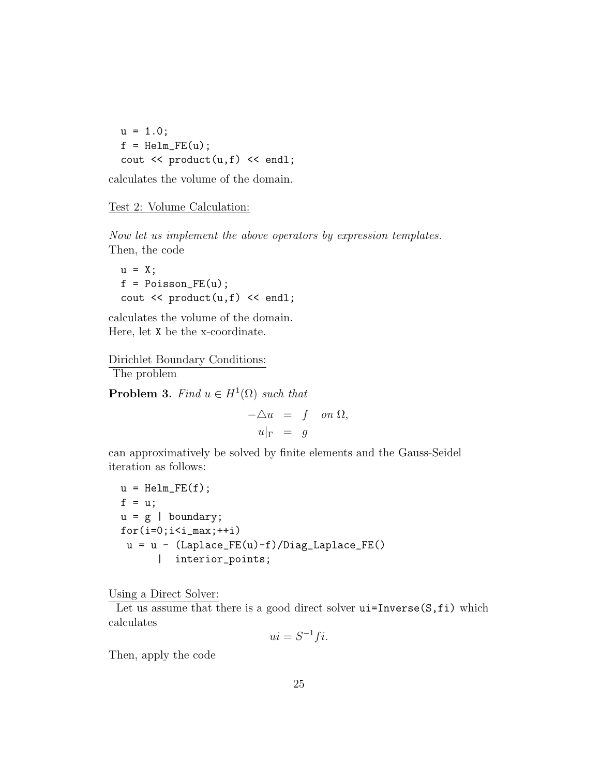$u = 1.0;$  $f = \text{Helm\_FE}(u)$ ; cout  $\langle$  product $(u,f)$   $\langle$  endl;

calculates the volume of the domain.

#### Test 2: Volume Calculation:

*Now let us implement the above operators by expression templates.* Then, the code

 $u = X;$  $f = Poisson_FE(u);$ cout  $\langle$  product $(u,f)$   $\langle$  endl;

calculates the volume of the domain. Here, let X be the x-coordinate.

Dirichlet Boundary Conditions: The problem

**Problem 3.** *Find*  $u \in H^1(\Omega)$  *such that* 

*−△u* = *f on* Ω*,*  $u|_{\Gamma} = q$ 

can approximatively be solved by finite elements and the Gauss-Seidel iteration as follows:

```
u = \text{Helm\_FE}(f);
f = u;u = g | boundary;
for(i=0;i<i>max;++i)u = u - (Laplace_FE(u)-f)/Diag_Laplace_FE()| interior_points;
```
Using a Direct Solver:

Let us assume that there is a good direct solver  $ui=Inverse(S,fi)$  which calculates

$$
ui = S^{-1}fi.
$$

Then, apply the code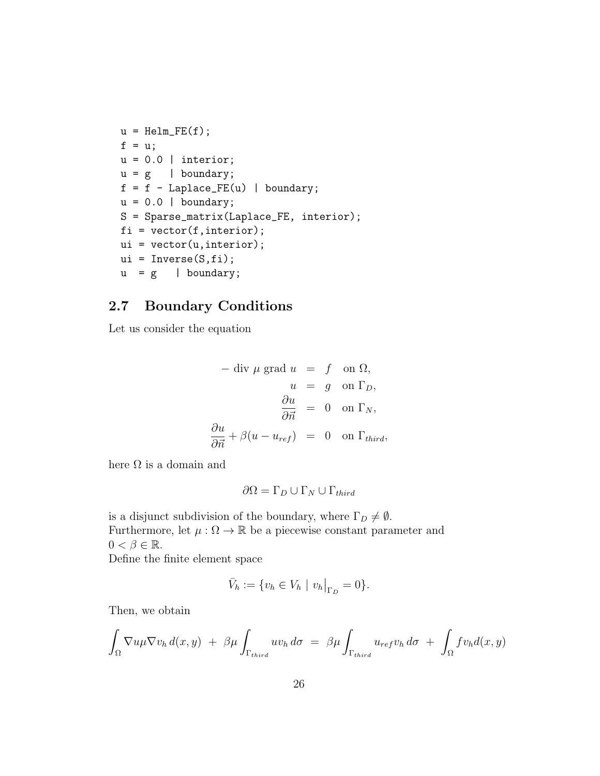```
u = \text{Helm\_FE}(f);f = u;u = 0.0 | interior;
u = g | boundary;
f = f - Laplace_FE(u) | boundary;
u = 0.0 | boundary;
S = Sparse_matrix(Laplace_FE, interior);
fi = vector(f,interior);
ui = vector(u,interior);
ui = Inverse(S, fi);u = g | boundary;
```
## **2.7 Boundary Conditions**

Let us consider the equation

$$
-\text{ div } \mu \text{ grad } u = f \text{ on } \Omega,
$$
  
\n
$$
u = g \text{ on } \Gamma_D,
$$
  
\n
$$
\frac{\partial u}{\partial \vec{n}} = 0 \text{ on } \Gamma_N,
$$
  
\n
$$
\frac{\partial u}{\partial \vec{n}} + \beta (u - u_{ref}) = 0 \text{ on } \Gamma_{third},
$$

here  $\Omega$  is a domain and

$$
\partial\Omega = \Gamma_D \cup \Gamma_N \cup \Gamma_{third}
$$

is a disjunct subdivision of the boundary, where  $\Gamma_D \neq \emptyset$ . Furthermore, let  $\mu : \Omega \to \mathbb{R}$  be a piecewise constant parameter and  $0 < \beta \in \mathbb{R}$ .

Define the finite element space

$$
\bar{V}_h := \{ v_h \in V_h \mid v_h \big|_{\Gamma_D} = 0 \}.
$$

Then, we obtain

$$
\int_{\Omega} \nabla u \mu \nabla v_h d(x, y) + \beta \mu \int_{\Gamma_{third}} uv_h d\sigma = \beta \mu \int_{\Gamma_{third}} u_{ref} v_h d\sigma + \int_{\Omega} f v_h d(x, y)
$$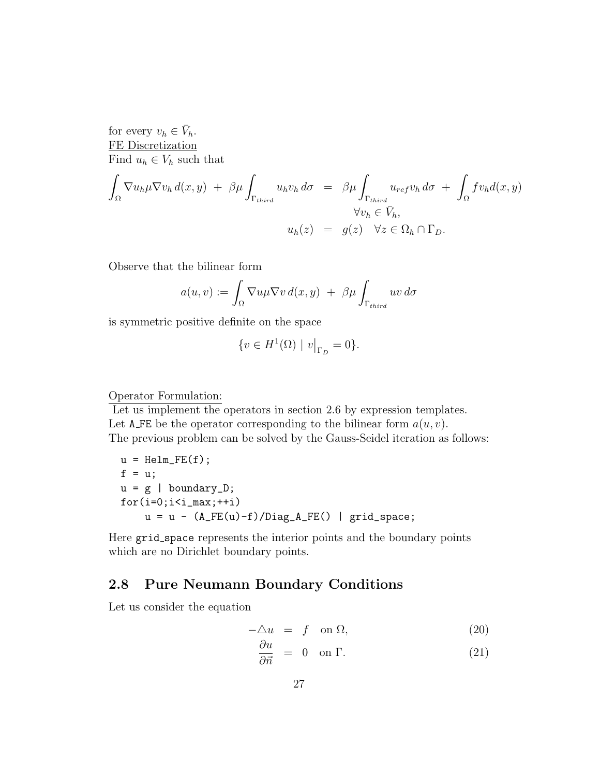for every  $v_h \in \overline{V}_h$ . FE Discretization Find  $u_h \in V_h$  such that

$$
\int_{\Omega} \nabla u_h \mu \nabla v_h d(x, y) + \beta \mu \int_{\Gamma_{third}} u_h v_h d\sigma = \beta \mu \int_{\Gamma_{third}} u_{ref} v_h d\sigma + \int_{\Omega} f v_h d(x, y) \forall v_h \in \bar{V}_h, \nu_h(z) = g(z) \quad \forall z \in \Omega_h \cap \Gamma_D.
$$

Observe that the bilinear form

$$
a(u, v) := \int_{\Omega} \nabla u \mu \nabla v \, d(x, y) + \beta \mu \int_{\Gamma_{third}} uv \, d\sigma
$$

is symmetric positive definite on the space

$$
\{v \in H^1(\Omega) \mid v\big|_{\Gamma_D} = 0\}.
$$

#### Operator Formulation:

Let us implement the operators in section 2.6 by expression templates. Let A FE be the operator corresponding to the bilinear form  $a(u, v)$ . The previous problem can be solved by the Gauss-Seidel iteration as follows:

u = Helm\_FE(f); f = u; u = g | boundary\_D; for(i=0;i<i\_max;++i) u = u - (A\_FE(u)-f)/Diag\_A\_FE() | grid\_space;

Here grid\_space represents the interior points and the boundary points which are no Dirichlet boundary points.

## **2.8 Pure Neumann Boundary Conditions**

Let us consider the equation

$$
-\Delta u = f \quad \text{on } \Omega,\tag{20}
$$

$$
\frac{\partial u}{\partial \vec{n}} = 0 \quad \text{on } \Gamma. \tag{21}
$$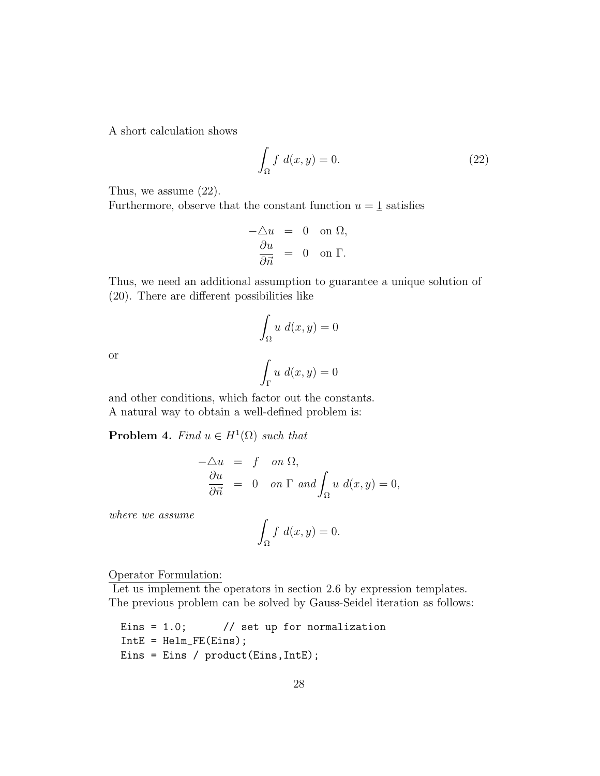A short calculation shows

$$
\int_{\Omega} f \ d(x, y) = 0. \tag{22}
$$

Thus, we assume (22).

Furthermore, observe that the constant function  $u = 1$  satisfies

$$
-\Delta u = 0 \text{ on } \Omega,
$$
  

$$
\frac{\partial u}{\partial \vec{n}} = 0 \text{ on } \Gamma.
$$

Thus, we need an additional assumption to guarantee a unique solution of (20). There are different possibilities like

$$
\int_{\Omega} u \, d(x, y) = 0
$$

$$
\int_{\Gamma} u \, d(x, y) = 0
$$

or

and other conditions, which factor out the constants. A natural way to obtain a well-defined problem is:

**Problem 4.** *Find*  $u \in H^1(\Omega)$  *such that* 

$$
-\Delta u = f \quad on \Omega,
$$
  
\n
$$
\frac{\partial u}{\partial \vec{n}} = 0 \quad on \Gamma \text{ and } \int_{\Omega} u \ d(x, y) = 0,
$$

*where we assume*

$$
\int_{\Omega} f \ d(x, y) = 0.
$$

Operator Formulation:

Let us implement the operators in section 2.6 by expression templates. The previous problem can be solved by Gauss-Seidel iteration as follows:

```
Eins = 1.0; // set up for normalization
IntE = Helm_FE(Eins);
Eins = Eins / product(Eins,IntE);
```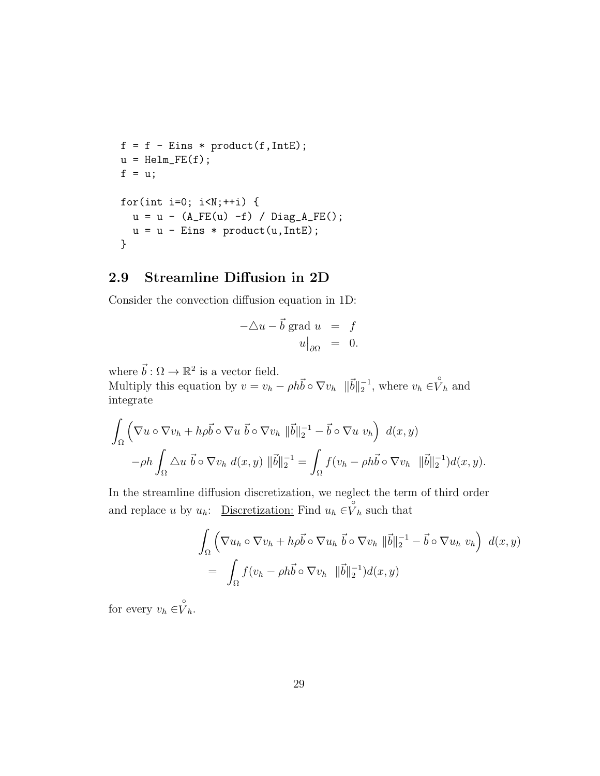```
f = f - \text{Eins} * \text{product}(f, \text{IntE});u = \text{Helm\_FE}(f);f = u;
for(int i=0; i< N;++i) {
  u = u - (A_F E(u) - f) / Diag_A_F E();u = u - Eins * product(u, IntE);}
```
### **2.9 Streamline Diffusion in 2D**

Consider the convection diffusion equation in 1D:

$$
-\Delta u - \vec{b} \text{ grad } u = f
$$

$$
u|_{\partial \Omega} = 0.
$$

where  $\vec{b} : \Omega \to \mathbb{R}^2$  is a vector field.

Multiply this equation by  $v = v_h - \rho h \vec{b} \circ \nabla v_h \quad ||\vec{b}||_2^{-1}$ , where  $v_h \in \overset{\circ}{V}_h$  and integrate

$$
\int_{\Omega} \left( \nabla u \circ \nabla v_h + h \rho \vec{b} \circ \nabla u \, \vec{b} \circ \nabla v_h \, \|\vec{b}\|_{2}^{-1} - \vec{b} \circ \nabla u \, v_h \right) \, d(x, y) \n- \rho h \int_{\Omega} \triangle u \, \vec{b} \circ \nabla v_h \, d(x, y) \, \|\vec{b}\|_{2}^{-1} = \int_{\Omega} f(v_h - \rho h \vec{b} \circ \nabla v_h \, \|\vec{b}\|_{2}^{-1}) d(x, y).
$$

In the streamline diffusion discretization, we neglect the term of third order and replace *u* by  $u_h$ : Discretization: Find  $u_h \in V_h$  such that

$$
\int_{\Omega} \left( \nabla u_h \circ \nabla v_h + h \rho \vec{b} \circ \nabla u_h \, \vec{b} \circ \nabla v_h \, \|\vec{b}\|_{2}^{-1} - \vec{b} \circ \nabla u_h \, v_h \right) \, d(x, y) \n= \int_{\Omega} f(v_h - \rho h \vec{b} \circ \nabla v_h \, \|\vec{b}\|_{2}^{-1}) d(x, y)
$$

for every  $v_h \in V_h$ .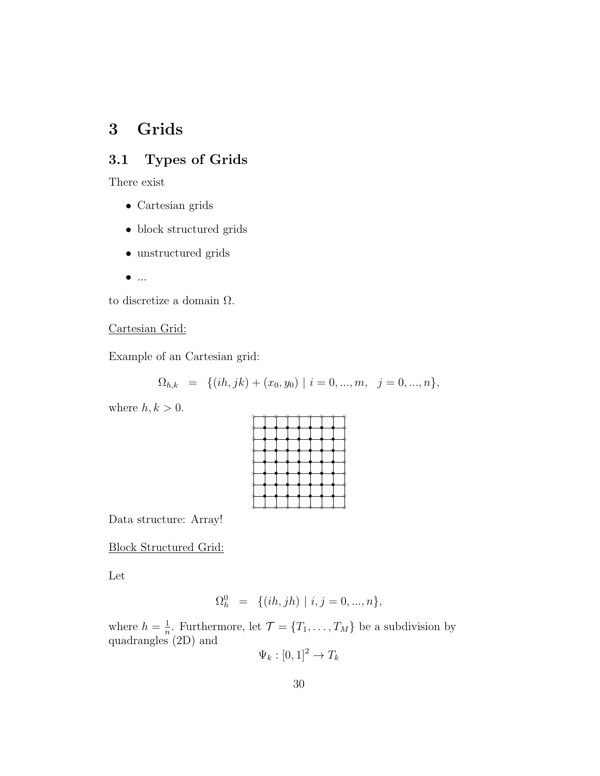# **3 Grids**

## **3.1 Types of Grids**

There exist

- *•* Cartesian grids
- *•* block structured grids
- *•* unstructured grids
- *•* ...

to discretize a domain  $\Omega$ .

#### Cartesian Grid:

Example of an Cartesian grid:

$$
\Omega_{h,k} = \{ (ih, jk) + (x_0, y_0) \mid i = 0, ..., m, j = 0, ..., n \},
$$

where  $h, k > 0$ .

Data structure: Array!

Block Structured Grid:

Let

$$
\Omega_h^0 = \{ (ih, jh) \mid i, j = 0, ..., n \},\
$$

where  $h=\frac{1}{n}$  $\frac{1}{n}$ . Furthermore, let  $\mathcal{T} = \{T_1, \ldots, T_M\}$  be a subdivision by quadrangles (2D) and

 $\Psi_k : [0, 1]^2 \to T_k$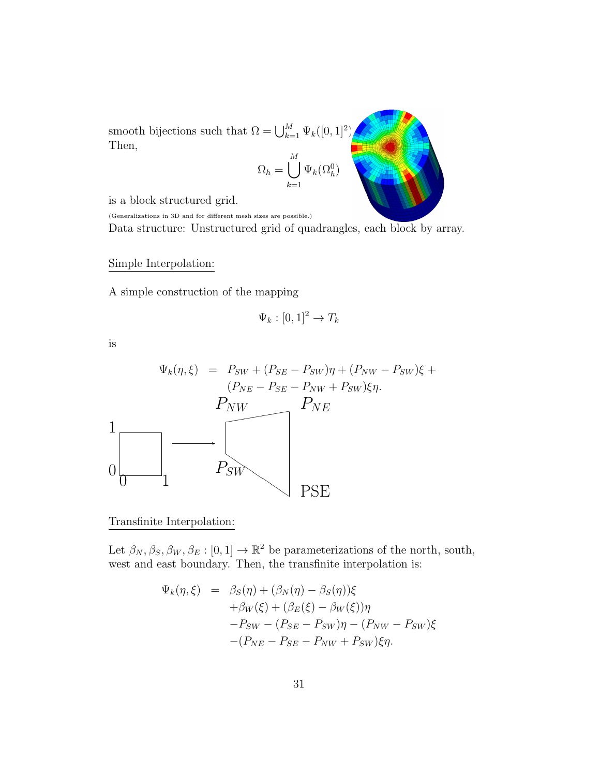smooth bijections such that  $\Omega = \bigcup_{k=1}^{M} \Psi_k([0,1]^2)$ . Then,

$$
\Omega_h = \bigcup_{k=1}^M \Psi_k(\Omega_h^0)
$$

is a block structured grid.

(Generalizations in 3D and for different mesh sizes are possible.)

Data structure: Unstructured grid of quadrangles, each block by array.

Simple Interpolation:

A simple construction of the mapping

$$
\Psi_k : [0,1]^2 \to T_k
$$

is

$$
\Psi_k(\eta, \xi) = P_{SW} + (P_{SE} - P_{SW})\eta + (P_{NW} - P_{SW})\xi +
$$
\n
$$
P_{NW} - P_{SE} - P_{NW} + P_{SW})\xi\eta.
$$
\n
$$
\frac{1}{\eta}
$$
\n
$$
P_{SW}
$$
\n
$$
P_{SW}
$$
\n
$$
P_{SW}
$$
\nPSE

#### Transfinite Interpolation:

Let  $\beta_N, \beta_S, \beta_W, \beta_E : [0, 1] \to \mathbb{R}^2$  be parameterizations of the north, south, west and east boundary. Then, the transfinite interpolation is:

$$
\Psi_k(\eta, \xi) = \beta_S(\eta) + (\beta_N(\eta) - \beta_S(\eta))\xi \n+ \beta_W(\xi) + (\beta_E(\xi) - \beta_W(\xi))\eta \n- P_{SW} - (P_{SE} - P_{SW})\eta - (P_{NW} - P_{SW})\xi \n- (P_{NE} - P_{SE} - P_{NW} + P_{SW})\xi\eta.
$$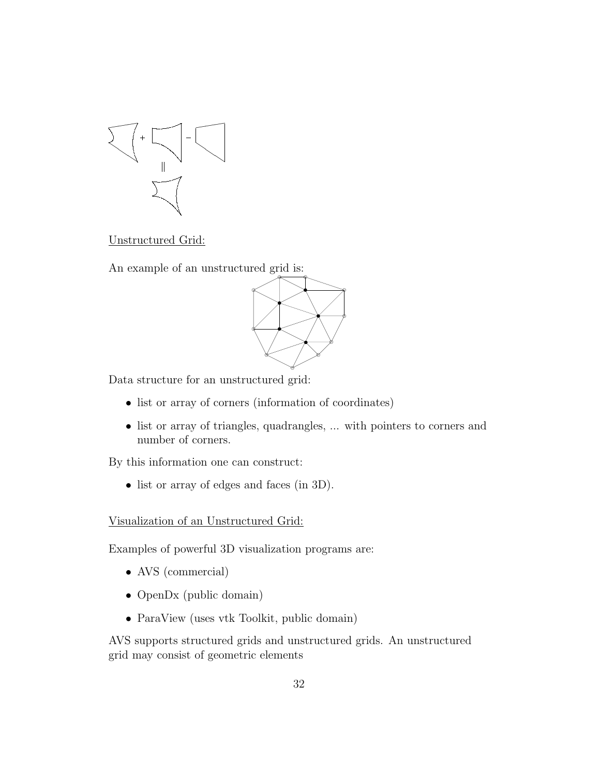

Unstructured Grid:

An example of an unstructured grid is:



Data structure for an unstructured grid:

- *•* list or array of corners (information of coordinates)
- list or array of triangles, quadrangles, ... with pointers to corners and number of corners.

By this information one can construct:

• list or array of edges and faces (in 3D).

#### Visualization of an Unstructured Grid:

Examples of powerful 3D visualization programs are:

- AVS (commercial)
- *•* OpenDx (public domain)
- ParaView (uses vtk Toolkit, public domain)

AVS supports structured grids and unstructured grids. An unstructured grid may consist of geometric elements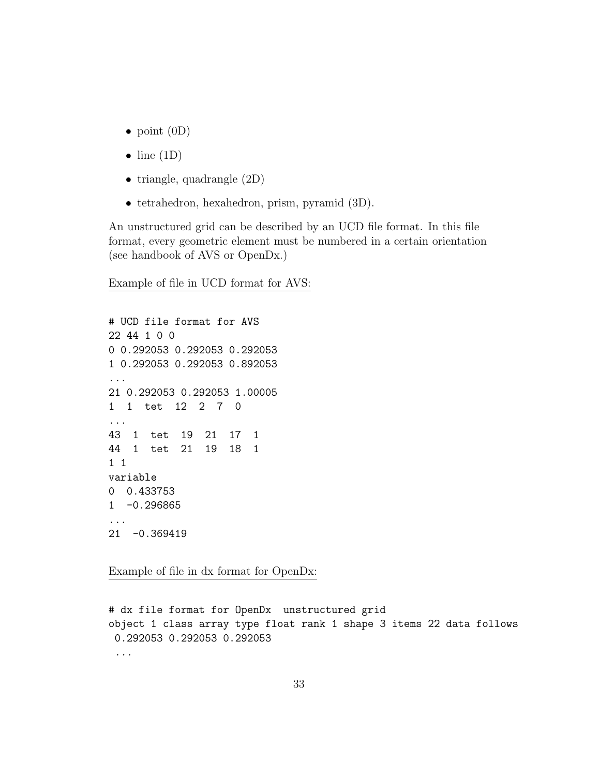- *•* point (0D)
- *•* line (1D)
- triangle, quadrangle  $(2D)$
- *•* tetrahedron, hexahedron, prism, pyramid (3D).

An unstructured grid can be described by an UCD file format. In this file format, every geometric element must be numbered in a certain orientation (see handbook of AVS or OpenDx.)

Example of file in UCD format for AVS:

# UCD file format for AVS 22 44 1 0 0 0 0.292053 0.292053 0.292053 1 0.292053 0.292053 0.892053 ... 21 0.292053 0.292053 1.00005 1 1 tet 12 2 7 0 ... 43 1 tet 19 21 17 1 44 1 tet 21 19 18 1 1 1 variable 0 0.433753 1 -0.296865 ... 21 -0.369419

Example of file in dx format for OpenDx:

# dx file format for OpenDx unstructured grid object 1 class array type float rank 1 shape 3 items 22 data follows 0.292053 0.292053 0.292053 ...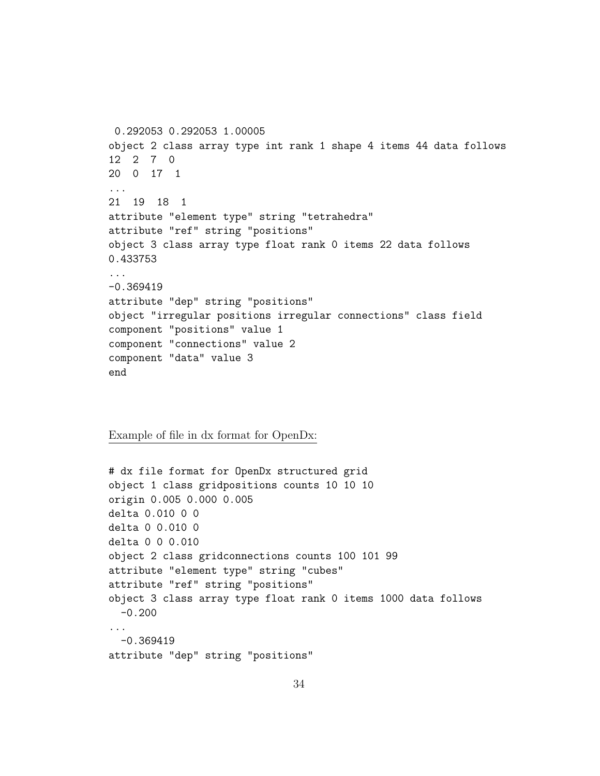```
0.292053 0.292053 1.00005
object 2 class array type int rank 1 shape 4 items 44 data follows
12 2 7 0
20 0 17 1
...
21 19 18 1
attribute "element type" string "tetrahedra"
attribute "ref" string "positions"
object 3 class array type float rank 0 items 22 data follows
0.433753
...
-0.369419
attribute "dep" string "positions"
object "irregular positions irregular connections" class field
component "positions" value 1
component "connections" value 2
component "data" value 3
end
```
Example of file in dx format for OpenDx:

```
# dx file format for OpenDx structured grid
object 1 class gridpositions counts 10 10 10
origin 0.005 0.000 0.005
delta 0.010 0 0
delta 0 0.010 0
delta 0 0 0.010
object 2 class gridconnections counts 100 101 99
attribute "element type" string "cubes"
attribute "ref" string "positions"
object 3 class array type float rank 0 items 1000 data follows
 -0.200...
 -0.369419
attribute "dep" string "positions"
```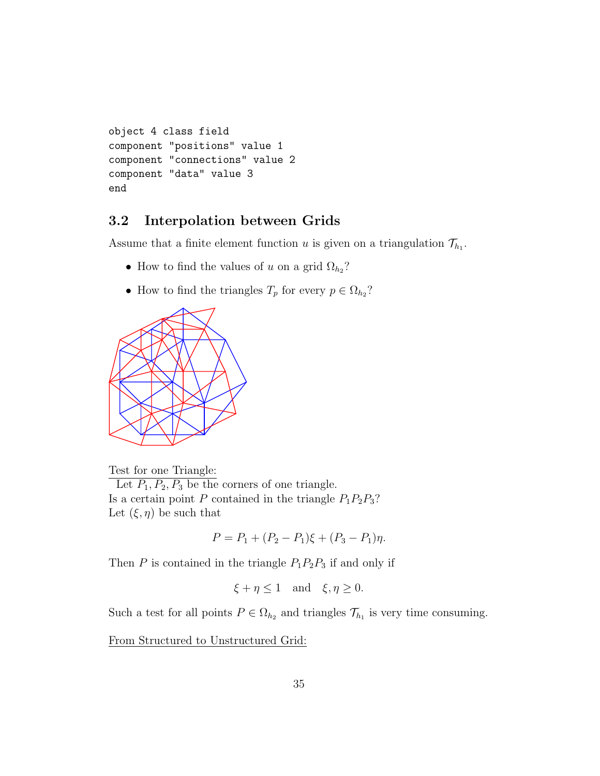```
object 4 class field
component "positions" value 1
component "connections" value 2
component "data" value 3
end
```
## **3.2 Interpolation between Grids**

Assume that a finite element function *u* is given on a triangulation  $\mathcal{T}_{h_1}$ .

- How to find the values of *u* on a grid  $\Omega_{h_2}$ ?
- How to find the triangles  $T_p$  for every  $p \in \Omega_{h_2}$ ?



Test for one Triangle: Let  $P_1, P_2, P_3$  be the corners of one triangle. Is a certain point  $P$  contained in the triangle  $P_1P_2P_3$ ? Let  $(\xi, \eta)$  be such that

$$
P = P_1 + (P_2 - P_1)\xi + (P_3 - P_1)\eta.
$$

Then *P* is contained in the triangle  $P_1P_2P_3$  if and only if

$$
\xi + \eta \le 1
$$
 and  $\xi, \eta \ge 0$ .

Such a test for all points  $P \in \Omega_{h_2}$  and triangles  $\mathcal{T}_{h_1}$  is very time consuming.

From Structured to Unstructured Grid: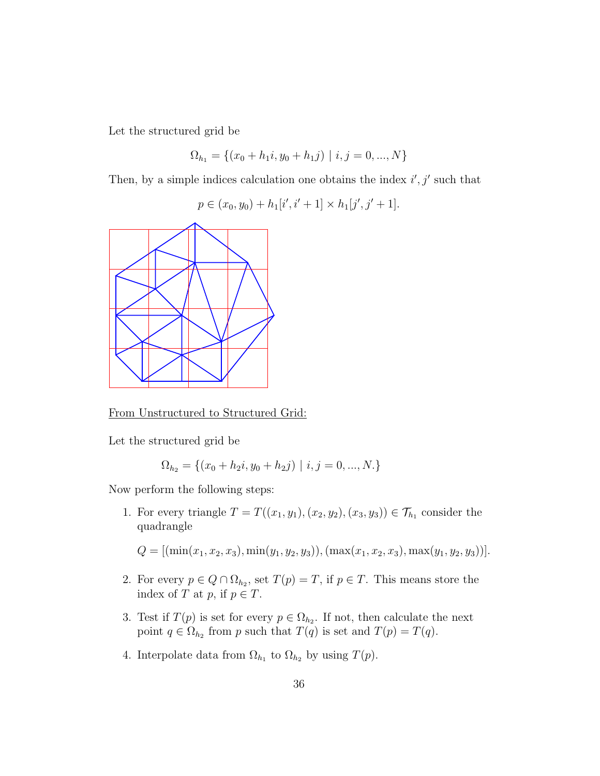Let the structured grid be

$$
\Omega_{h_1} = \{(x_0 + h_1 i, y_0 + h_1 j) \mid i, j = 0, ..., N\}
$$

Then, by a simple indices calculation one obtains the index *i ′ , j′* such that

$$
p \in (x_0, y_0) + h_1[i', i' + 1] \times h_1[j', j' + 1].
$$



From Unstructured to Structured Grid:

Let the structured grid be

$$
\Omega_{h_2} = \{(x_0 + h_2i, y_0 + h_2j) \mid i, j = 0, ..., N.\}
$$

Now perform the following steps:

1. For every triangle  $T = T((x_1, y_1), (x_2, y_2), (x_3, y_3)) \in \mathcal{T}_{h_1}$  consider the quadrangle

 $Q = [(\min(x_1, x_2, x_3), \min(y_1, y_2, y_3)), (\max(x_1, x_2, x_3), \max(y_1, y_2, y_3))].$ 

- 2. For every  $p \in Q \cap \Omega_{h_2}$ , set  $T(p) = T$ , if  $p \in T$ . This means store the index of *T* at *p*, if  $p \in T$ .
- 3. Test if  $T(p)$  is set for every  $p \in \Omega_{h_2}$ . If not, then calculate the next point  $q \in \Omega_{h_2}$  from *p* such that  $T(q)$  is set and  $T(p) = T(q)$ .
- 4. Interpolate data from  $\Omega_{h_1}$  to  $\Omega_{h_2}$  by using  $T(p)$ .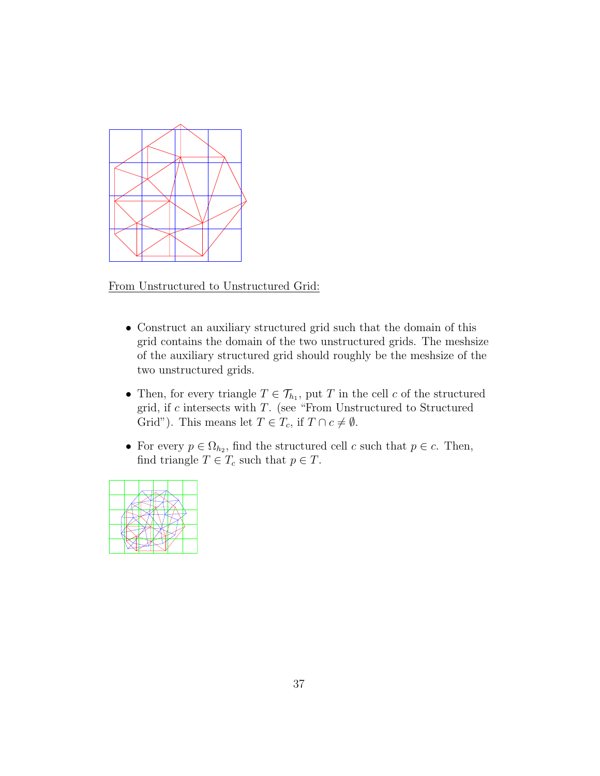

From Unstructured to Unstructured Grid:

- *•* Construct an auxiliary structured grid such that the domain of this grid contains the domain of the two unstructured grids. The meshsize of the auxiliary structured grid should roughly be the meshsize of the two unstructured grids.
- Then, for every triangle  $T \in \mathcal{T}_{h_1}$ , put *T* in the cell *c* of the structured grid, if *c* intersects with *T*. (see "From Unstructured to Structured Grid"). This means let  $T \in T_c$ , if  $T \cap c \neq \emptyset$ .
- For every  $p \in \Omega_{h_2}$ , find the structured cell *c* such that  $p \in c$ . Then, find triangle  $T \in T_c$  such that  $p \in T$ .

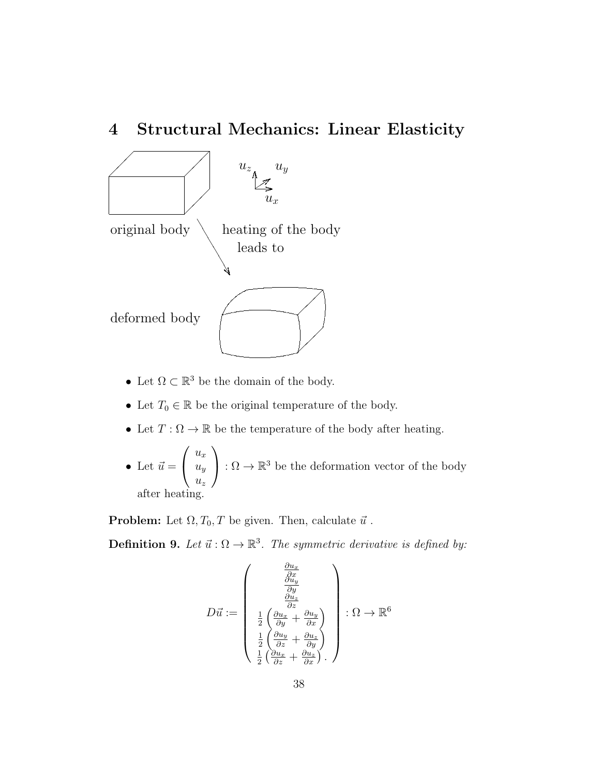## **4 Structural Mechanics: Linear Elasticity**



- Let  $\Omega \subset \mathbb{R}^3$  be the domain of the body.
- *•* Let *T*<sup>0</sup> *∈* R be the original temperature of the body.
- Let  $T : \Omega \to \mathbb{R}$  be the temperature of the body after heating.
- Let  $\vec{u} =$  $\sqrt{ }$  $\overline{1}$  $u_x$ *uy uz*  $\setminus$  $\left( \cdot : \Omega \to \mathbb{R}^3 \right)$  be the deformation vector of the body after heating.

**Problem:** Let  $\Omega, T_0, T$  be given. Then, calculate  $\vec{u}$ .

**Definition 9.** Let  $\vec{u} : \Omega \to \mathbb{R}^3$ . The symmetric derivative is defined by:

$$
D\vec{u} := \begin{pmatrix} \frac{\partial u_x}{\partial x} \\ \frac{\partial u_y}{\partial y} \\ \frac{\partial u_z}{\partial z} \\ \frac{1}{2} \left( \frac{\partial u_x}{\partial y} + \frac{\partial u_y}{\partial x} \right) \\ \frac{1}{2} \left( \frac{\partial u_y}{\partial z} + \frac{\partial u_z}{\partial y} \right) \\ \frac{1}{2} \left( \frac{\partial u_x}{\partial z} + \frac{\partial u_z}{\partial x} \right) \end{pmatrix} : \Omega \to \mathbb{R}^6
$$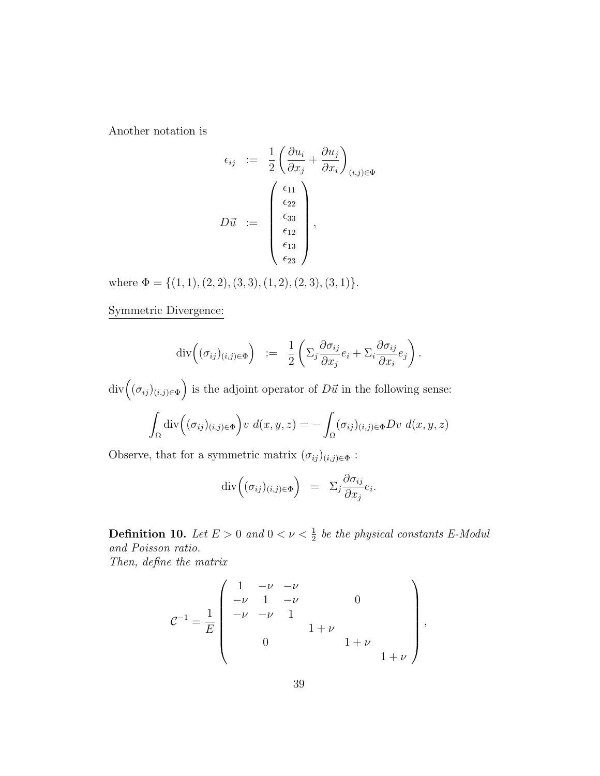Another notation is

$$
\epsilon_{ij} := \frac{1}{2} \left( \frac{\partial u_i}{\partial x_j} + \frac{\partial u_j}{\partial x_i} \right)_{(i,j) \in \Phi}
$$

$$
D\vec{u} := \begin{pmatrix} \epsilon_{11} \\ \epsilon_{22} \\ \epsilon_{33} \\ \epsilon_{12} \\ \epsilon_{13} \\ \epsilon_{23} \end{pmatrix},
$$

where Φ = *{*(1*,* 1)*,*(2*,* 2)*,*(3*,* 3)*,*(1*,* 2)*,*(2*,* 3)*,*(3*,* 1)*}*.

Symmetric Divergence:

$$
\operatorname{div}\left((\sigma_{ij})_{(i,j)\in\Phi}\right) \; := \; \frac{1}{2}\left(\Sigma_j \frac{\partial \sigma_{ij}}{\partial x_j} e_i + \Sigma_i \frac{\partial \sigma_{ij}}{\partial x_i} e_j\right).
$$

 $div((\sigma_{ij})_{(i,j)\in\Phi})$  is the adjoint operator of  $D\vec{u}$  in the following sense:

$$
\int_{\Omega} \operatorname{div} \left( (\sigma_{ij})_{(i,j) \in \Phi} \right) v \ d(x,y,z) = - \int_{\Omega} (\sigma_{ij})_{(i,j) \in \Phi} Dv \ d(x,y,z)
$$

Observe, that for a symmetric matrix  $(\sigma_{ij})_{(i,j)\in\Phi}$  :

$$
\mathrm{div}\Big((\sigma_{ij})_{(i,j)\in\Phi}\Big) = \Sigma_j \frac{\partial \sigma_{ij}}{\partial x_j} e_i.
$$

**Definition 10.** *Let*  $E > 0$  *and*  $0 < \nu < \frac{1}{2}$  *be the physical constants E-Modul and Poisson ratio. Then, define the matrix*

$$
C^{-1} = \frac{1}{E} \begin{pmatrix} 1 & -\nu & -\nu & & & & \\ -\nu & 1 & -\nu & & 0 & & \\ -\nu & -\nu & 1 & & & \\ & & 0 & & 1+\nu & \\ & & & & 1+\nu & \\ & & & & & 1+\nu \end{pmatrix},
$$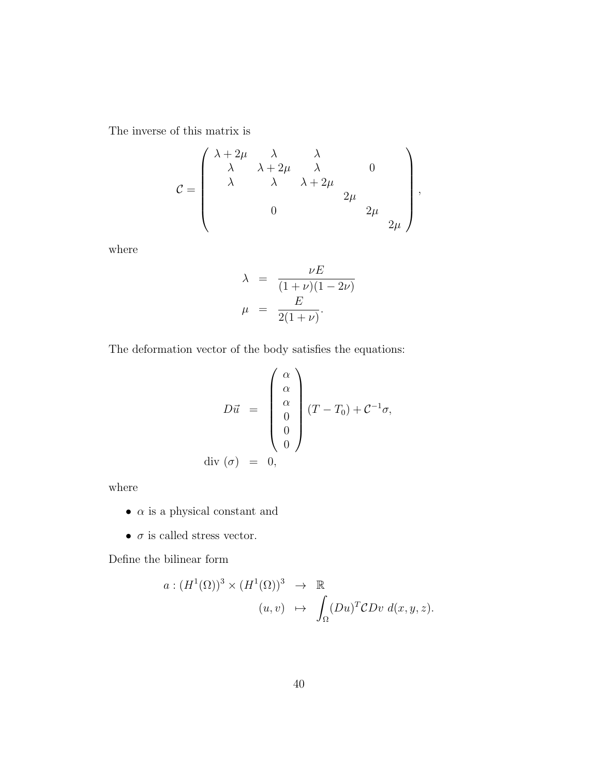The inverse of this matrix is

$$
\mathcal{C} = \left( \begin{array}{cccc} \lambda + 2\mu & \lambda & \lambda & \\ \lambda & \lambda + 2\mu & \lambda & 0 \\ \lambda & \lambda & \lambda + 2\mu & \\ 0 & & 2\mu & \\ & & 0 & & 2\mu \end{array} \right),
$$

where

$$
\lambda = \frac{\nu E}{(1+\nu)(1-2\nu)}
$$

$$
\mu = \frac{E}{2(1+\nu)}.
$$

The deformation vector of the body satisfies the equations:

$$
D\vec{u} = \begin{pmatrix} \alpha \\ \alpha \\ \alpha \\ 0 \\ 0 \\ 0 \end{pmatrix} (T - T_0) + C^{-1}\sigma,
$$
  
div  $(\sigma) = 0$ ,

where

- $\bullet$   $\,\alpha$  is a physical constant and
- $\bullet$   $\,\sigma$  is called stress vector.

Define the bilinear form

$$
a: (H^{1}(\Omega))^{3} \times (H^{1}(\Omega))^{3} \rightarrow \mathbb{R}
$$
  

$$
(u, v) \mapsto \int_{\Omega} (Du)^{T} \mathcal{C}Dv \, d(x, y, z).
$$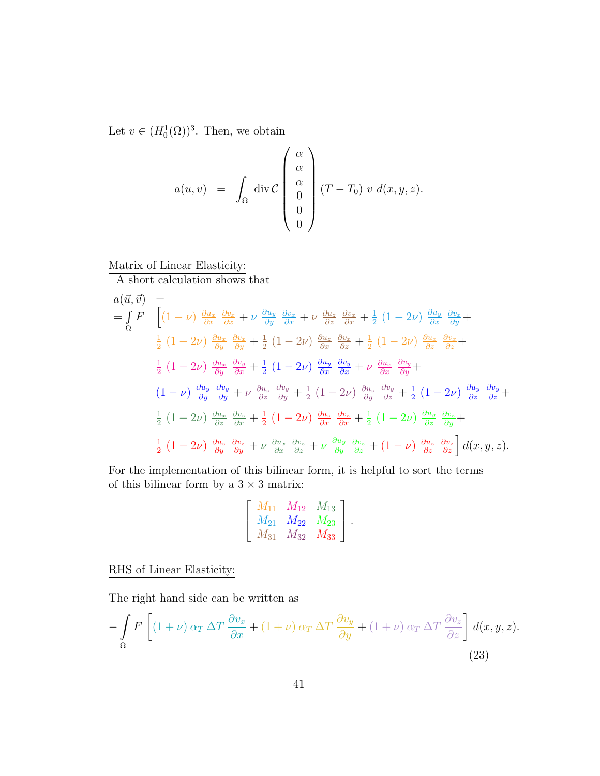Let  $v \in (H_0^1(\Omega))^3$ . Then, we obtain

$$
a(u,v) = \int_{\Omega} \operatorname{div} \mathcal{C} \begin{pmatrix} \alpha \\ \alpha \\ 0 \\ 0 \\ 0 \end{pmatrix} (T - T_0) v d(x,y,z).
$$

## Matrix of Linear Elasticity:

A short calculation shows that

$$
a(\vec{u}, \vec{v}) =
$$
\n
$$
= \int_{\Omega} F \left[ (1 - \nu) \frac{\partial u_x}{\partial x} \frac{\partial v_x}{\partial x} + \nu \frac{\partial u_y}{\partial y} \frac{\partial v_x}{\partial x} + \nu \frac{\partial u_z}{\partial z} \frac{\partial v_x}{\partial x} + \frac{1}{2} (1 - 2\nu) \frac{\partial u_y}{\partial x} \frac{\partial v_x}{\partial y} + \frac{1}{2} (1 - 2\nu) \frac{\partial u_x}{\partial y} \frac{\partial v_x}{\partial y} + \frac{1}{2} (1 - 2\nu) \frac{\partial u_z}{\partial x} \frac{\partial v_x}{\partial z} + \frac{1}{2} (1 - 2\nu) \frac{\partial u_x}{\partial x} \frac{\partial v_y}{\partial z} + \frac{1}{2} (1 - 2\nu) \frac{\partial u_x}{\partial y} \frac{\partial v_y}{\partial x} + \frac{1}{2} (1 - 2\nu) \frac{\partial u_y}{\partial x} \frac{\partial v_y}{\partial x} + \nu \frac{\partial u_x}{\partial x} \frac{\partial v_y}{\partial y} + \frac{1}{2} (1 - 2\nu) \frac{\partial u_y}{\partial y} \frac{\partial v_y}{\partial y} + \nu \frac{\partial u_z}{\partial z} \frac{\partial v_y}{\partial y} + \frac{1}{2} (1 - 2\nu) \frac{\partial u_z}{\partial y} \frac{\partial v_y}{\partial z} + \frac{1}{2} (1 - 2\nu) \frac{\partial u_z}{\partial x} \frac{\partial v_z}{\partial x} + \frac{1}{2} (1 - 2\nu) \frac{\partial u_y}{\partial x} \frac{\partial v_z}{\partial x} + \frac{1}{2} (1 - 2\nu) \frac{\partial u_y}{\partial z} \frac{\partial v_z}{\partial y} + \frac{1}{2} (1 - 2\nu) \frac{\partial u_z}{\partial y} \frac{\partial v_z}{\partial x} + \frac{1}{2} (1 - 2\nu) \frac{\partial u_z}{\partial y} \frac{\partial v_z}{\partial y} + \frac{1}{2} (1 - 2\nu) \frac{\partial u_z}{\partial y} \frac{\partial v_z}{\partial y} + \nu \frac{\partial u_x}{\partial x} \frac{\partial v_z}{\partial z} + \nu \frac{\partial u_y}{\partial y} \frac{\partial v_z}{\partial z} + (1 - \nu) \frac{\partial u_z}{\partial
$$

For the implementation of this bilinear form, it is helpful to sort the terms of this bilinear form by a  $3\times 3$  matrix:

$$
\begin{bmatrix} M_{11} & M_{12} & M_{13} \ M_{21} & M_{22} & M_{23} \ M_{31} & M_{32} & M_{33} \end{bmatrix}
$$

*.*

RHS of Linear Elasticity:

The right hand side can be written as

$$
-\int_{\Omega} F\left[ (1+\nu)\alpha_T \Delta T \frac{\partial v_x}{\partial x} + (1+\nu)\alpha_T \Delta T \frac{\partial v_y}{\partial y} + (1+\nu)\alpha_T \Delta T \frac{\partial v_z}{\partial z} \right] d(x,y,z).
$$
\n(23)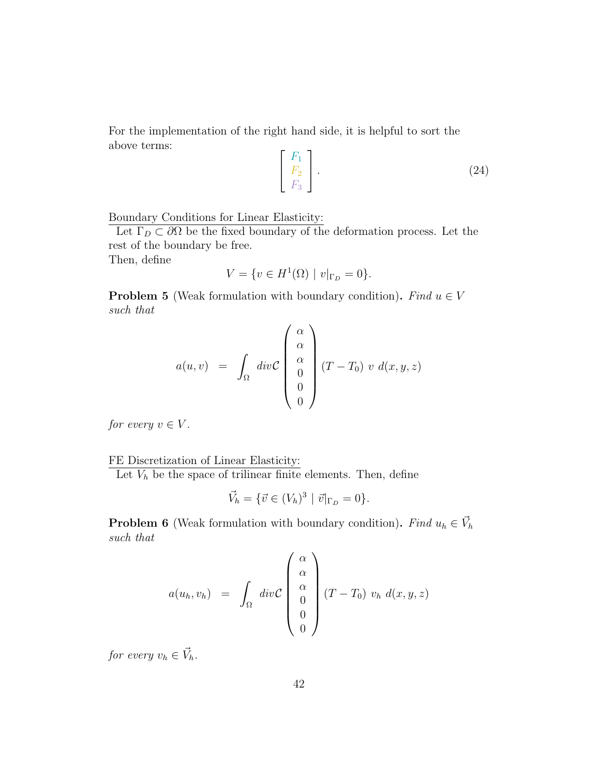For the implementation of the right hand side, it is helpful to sort the above terms:

$$
\begin{bmatrix} F_1 \\ F_2 \\ F_3 \end{bmatrix} . \tag{24}
$$

#### Boundary Conditions for Linear Elasticity:

Let  $\Gamma_D \subset \partial\Omega$  be the fixed boundary of the deformation process. Let the rest of the boundary be free.

Then, define

$$
V = \{ v \in H^{1}(\Omega) \mid v|_{\Gamma_D} = 0 \}.
$$

**Problem 5** (Weak formulation with boundary condition). Find  $u \in V$ *such that*

$$
a(u,v) = \int_{\Omega} div \mathcal{C} \begin{pmatrix} \alpha \\ \alpha \\ 0 \\ 0 \\ 0 \end{pmatrix} (T - T_0) v d(x,y,z)
$$

*for every*  $v \in V$ *.* 

FE Discretization of Linear Elasticity:

Let  $V_h$  be the space of trilinear finite elements. Then, define

$$
\vec{V}_h = \{ \vec{v} \in (V_h)^3 \mid \vec{v}|_{\Gamma_D} = 0 \}.
$$

**Problem 6** (Weak formulation with boundary condition). Find  $u_h \in V_h$ *such that*

$$
a(u_h, v_h) = \int_{\Omega} \operatorname{div} \mathcal{C} \begin{pmatrix} \alpha \\ \alpha \\ 0 \\ 0 \\ 0 \end{pmatrix} (T - T_0) v_h d(x, y, z)
$$

*for every*  $v_h \in \vec{V}_h$ .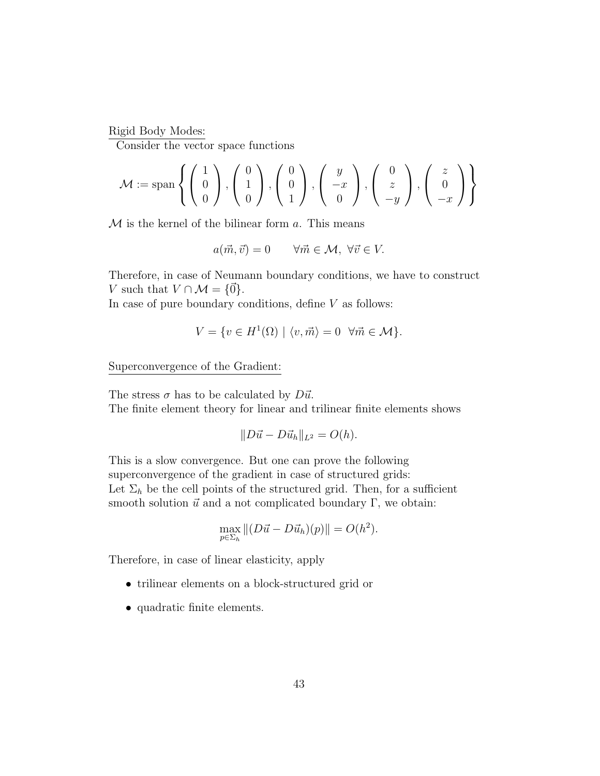Rigid Body Modes:

Consider the vector space functions

$$
\mathcal{M} := \text{span}\left\{ \begin{pmatrix} 1 \\ 0 \\ 0 \end{pmatrix}, \begin{pmatrix} 0 \\ 1 \\ 0 \end{pmatrix}, \begin{pmatrix} 0 \\ 0 \\ 1 \end{pmatrix}, \begin{pmatrix} y \\ -x \\ 0 \end{pmatrix}, \begin{pmatrix} 0 \\ z \\ -y \end{pmatrix}, \begin{pmatrix} z \\ 0 \\ -x \end{pmatrix} \right\}
$$

*M* is the kernel of the bilinear form *a*. This means

$$
a(\vec{m}, \vec{v}) = 0 \qquad \forall \vec{m} \in \mathcal{M}, \ \forall \vec{v} \in V.
$$

Therefore, in case of Neumann boundary conditions, we have to construct *V* such that  $V \cap \mathcal{M} = \{0\}$ .

In case of pure boundary conditions, define *V* as follows:

$$
V = \{ v \in H^1(\Omega) \mid \langle v, \vec{m} \rangle = 0 \quad \forall \vec{m} \in \mathcal{M} \}.
$$

Superconvergence of the Gradient:

The stress  $\sigma$  has to be calculated by  $D\vec{u}$ . The finite element theory for linear and trilinear finite elements shows

$$
||D\vec{u} - D\vec{u}_h||_{L^2} = O(h).
$$

This is a slow convergence. But one can prove the following superconvergence of the gradient in case of structured grids: Let  $\Sigma_h$  be the cell points of the structured grid. Then, for a sufficient smooth solution  $\vec{u}$  and a not complicated boundary  $\Gamma,$  we obtain:

$$
\max_{p \in \Sigma_h} || (D\vec{u} - D\vec{u}_h)(p)|| = O(h^2).
$$

Therefore, in case of linear elasticity, apply

- *•* trilinear elements on a block-structured grid or
- *•* quadratic finite elements.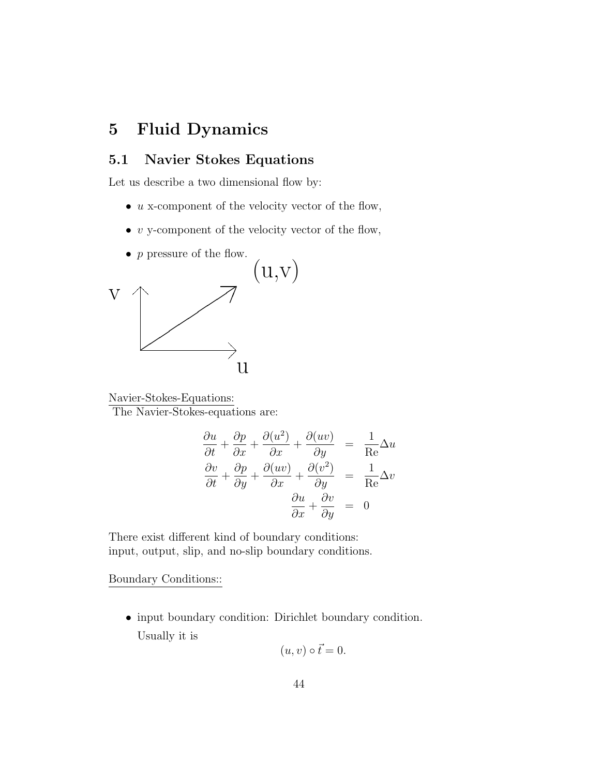# **5 Fluid Dynamics**

## **5.1 Navier Stokes Equations**

Let us describe a two dimensional flow by:

- *u* x-component of the velocity vector of the flow,
- *• v* y-component of the velocity vector of the flow,
- *p* pressure of the flow.



Navier-Stokes-Equations:

The Navier-Stokes-equations are:

$$
\frac{\partial u}{\partial t} + \frac{\partial p}{\partial x} + \frac{\partial (u^2)}{\partial x} + \frac{\partial (uv)}{\partial y} = \frac{1}{\text{Re}} \Delta u
$$

$$
\frac{\partial v}{\partial t} + \frac{\partial p}{\partial y} + \frac{\partial (uv)}{\partial x} + \frac{\partial (v^2)}{\partial y} = \frac{1}{\text{Re}} \Delta v
$$

$$
\frac{\partial u}{\partial x} + \frac{\partial v}{\partial y} = 0
$$

There exist different kind of boundary conditions: input, output, slip, and no-slip boundary conditions.

Boundary Conditions::

*•* input boundary condition: Dirichlet boundary condition. Usually it is

$$
(u, v) \circ \vec{t} = 0.
$$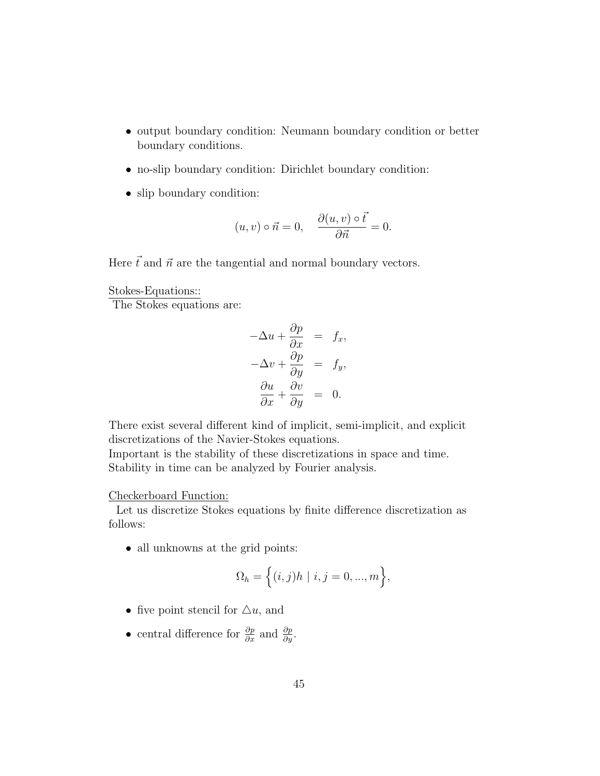- output boundary condition: Neumann boundary condition or better boundary conditions.
- no-slip boundary condition: Dirichlet boundary condition:
- slip boundary condition:

$$
(u, v) \circ \vec{n} = 0, \quad \frac{\partial(u, v) \circ \vec{t}}{\partial \vec{n}} = 0.
$$

Here  $\vec{t}$  and  $\vec{n}$  are the tangential and normal boundary vectors.

Stokes-Equations::

The Stokes equations are:

$$
-\Delta u + \frac{\partial p}{\partial x} = f_x,
$$
  

$$
-\Delta v + \frac{\partial p}{\partial y} = f_y,
$$
  

$$
\frac{\partial u}{\partial x} + \frac{\partial v}{\partial y} = 0.
$$

There exist several different kind of implicit, semi-implicit, and explicit discretizations of the Navier-Stokes equations.

Important is the stability of these discretizations in space and time. Stability in time can be analyzed by Fourier analysis.

#### Checkerboard Function:

Let us discretize Stokes equations by finite difference discretization as follows:

• all unknowns at the grid points:

$$
\Omega_h = \Big\{ (i,j)h \mid i,j = 0, ..., m \Big\},\
$$

- five point stencil for  $\Delta u$ , and
- *•* central difference for *∂p ∂x* and *∂p ∂y* .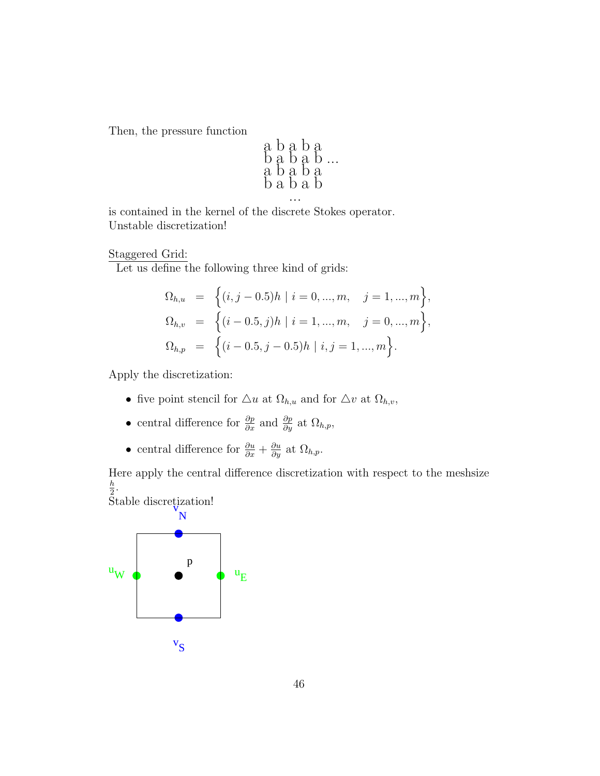Then, the pressure function

$$
\begin{array}{l} \texttt{a} \texttt{b} \texttt{a} \texttt{b} \texttt{a} \\ \texttt{b} \texttt{a} \texttt{b} \texttt{a} \texttt{b} \\ \texttt{a} \texttt{b} \texttt{a} \texttt{b} \texttt{a} \\ \texttt{b} \texttt{a} \texttt{b} \texttt{a} \texttt{b} \\ \cdots \end{array}
$$

is contained in the kernel of the discrete Stokes operator. Unstable discretization!

Staggered Grid:

Let us define the following three kind of grids:

$$
\Omega_{h,u} = \left\{ (i, j - 0.5)h \mid i = 0, ..., m, \quad j = 1, ..., m \right\},
$$
  
\n
$$
\Omega_{h,v} = \left\{ (i - 0.5, j)h \mid i = 1, ..., m, \quad j = 0, ..., m \right\},
$$
  
\n
$$
\Omega_{h,p} = \left\{ (i - 0.5, j - 0.5)h \mid i, j = 1, ..., m \right\}.
$$

Apply the discretization:

- five point stencil for  $\triangle u$  at  $\Omega_{h,u}$  and for  $\triangle v$  at  $\Omega_{h,v}$ ,
- central difference for  $\frac{\partial p}{\partial x}$  and  $\frac{\partial p}{\partial y}$  at  $\Omega_{h,p}$ ,
- central difference for  $\frac{\partial u}{\partial x} + \frac{\partial u}{\partial y}$  at  $\Omega_{h,p}$ .

Here apply the central difference discretization with respect to the meshsize *h*  $\frac{h}{2}$ .

Stable discretization!

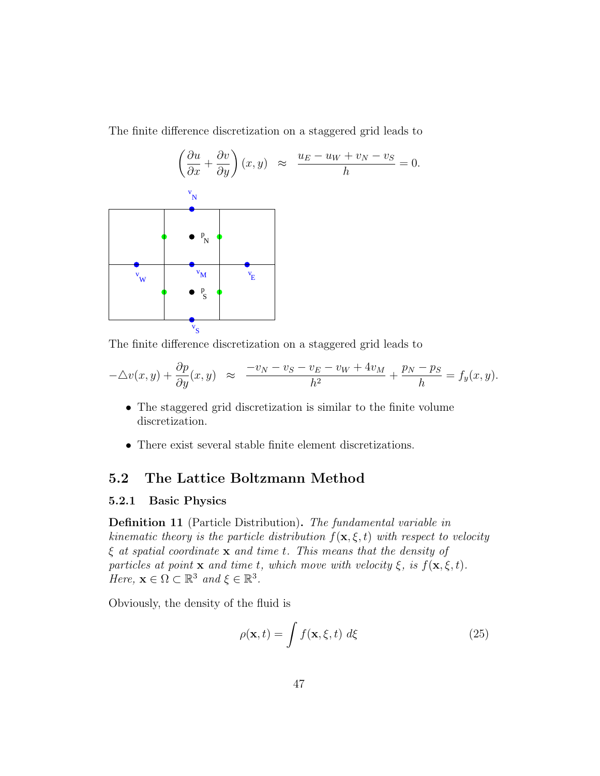The finite difference discretization on a staggered grid leads to



The finite difference discretization on a staggered grid leads to

$$
-\triangle v(x,y) + \frac{\partial p}{\partial y}(x,y) \approx \frac{-v_N - v_S - v_E - v_W + 4v_M}{h^2} + \frac{p_N - p_S}{h} = f_y(x,y).
$$

- The staggered grid discretization is similar to the finite volume discretization.
- *•* There exist several stable finite element discretizations.

### **5.2 The Lattice Boltzmann Method**

#### **5.2.1 Basic Physics**

**Definition 11** (Particle Distribution)**.** *The fundamental variable in kinematic theory is the particle distribution*  $f(\mathbf{x}, \xi, t)$  *with respect to velocity ξ at spatial coordinate* **x** *and time t. This means that the density of particles at point* **x** *and time t, which move with velocity*  $\xi$ *, is*  $f(\mathbf{x}, \xi, t)$ *. Here,*  $\mathbf{x} \in \Omega \subset \mathbb{R}^3$  *and*  $\xi \in \mathbb{R}^3$ *.* 

Obviously, the density of the fluid is

$$
\rho(\mathbf{x},t) = \int f(\mathbf{x},\xi,t) \, d\xi \tag{25}
$$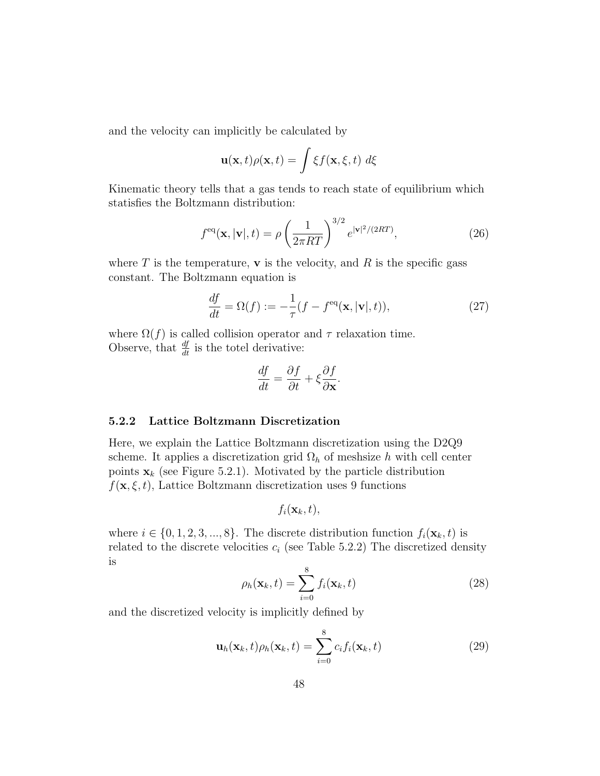and the velocity can implicitly be calculated by

$$
\mathbf{u}(\mathbf{x},t)\rho(\mathbf{x},t) = \int \xi f(\mathbf{x},\xi,t) \; d\xi
$$

Kinematic theory tells that a gas tends to reach state of equilibrium which statisfies the Boltzmann distribution:

$$
f^{\text{eq}}(\mathbf{x}, |\mathbf{v}|, t) = \rho \left(\frac{1}{2\pi RT}\right)^{3/2} e^{|\mathbf{v}|^2/(2RT)}, \tag{26}
$$

where  $T$  is the temperature,  $\bf{v}$  is the velocity, and  $R$  is the specific gass constant. The Boltzmann equation is

$$
\frac{df}{dt} = \Omega(f) := -\frac{1}{\tau}(f - f^{\text{eq}}(\mathbf{x}, |\mathbf{v}|, t)),\tag{27}
$$

where  $\Omega(f)$  is called collision operator and  $\tau$  relaxation time. Observe, that  $\frac{df}{dt}$  is the totel derivative:

$$
\frac{df}{dt} = \frac{\partial f}{\partial t} + \xi \frac{\partial f}{\partial \mathbf{x}}.
$$

#### **5.2.2 Lattice Boltzmann Discretization**

Here, we explain the Lattice Boltzmann discretization using the D2Q9 scheme. It applies a discretization grid  $\Omega_h$  of meshsize *h* with cell center points  $\mathbf{x}_k$  (see Figure 5.2.1). Motivated by the particle distribution  $f(\mathbf{x}, \xi, t)$ , Lattice Boltzmann discretization uses 9 functions

$$
f_i(\mathbf{x}_k,t),
$$

where  $i \in \{0, 1, 2, 3, ..., 8\}$ . The discrete distribution function  $f_i(\mathbf{x}_k, t)$  is related to the discrete velocities  $c_i$  (see Table 5.2.2) The discretized density is

$$
\rho_h(\mathbf{x}_k, t) = \sum_{i=0}^8 f_i(\mathbf{x}_k, t)
$$
\n(28)

and the discretized velocity is implicitly defined by

$$
\mathbf{u}_h(\mathbf{x}_k, t)\rho_h(\mathbf{x}_k, t) = \sum_{i=0}^8 c_i f_i(\mathbf{x}_k, t)
$$
 (29)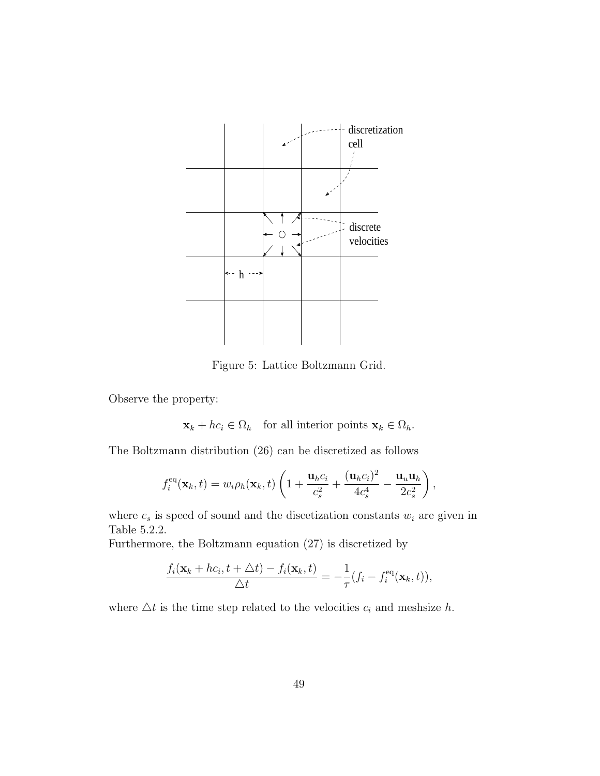

Figure 5: Lattice Boltzmann Grid.

Observe the property:

 $\mathbf{x}_k + hc_i \in \Omega_h$  for all interior points  $\mathbf{x}_k \in \Omega_h$ .

The Boltzmann distribution (26) can be discretized as follows

$$
f_i^{\text{eq}}(\mathbf{x}_k,t) = w_i \rho_h(\mathbf{x}_k,t) \left( 1 + \frac{\mathbf{u}_h c_i}{c_s^2} + \frac{(\mathbf{u}_h c_i)^2}{4c_s^4} - \frac{\mathbf{u}_u \mathbf{u}_h}{2c_s^2} \right),
$$

where  $c_s$  is speed of sound and the discetization constants  $w_i$  are given in Table 5.2.2.

Furthermore, the Boltzmann equation (27) is discretized by

$$
\frac{f_i(\mathbf{x}_k + hc_i, t + \Delta t) - f_i(\mathbf{x}_k, t)}{\Delta t} = -\frac{1}{\tau}(f_i - f_i^{\text{eq}}(\mathbf{x}_k, t)),
$$

where  $\Delta t$  is the time step related to the velocities  $c_i$  and meshsize  $h$ .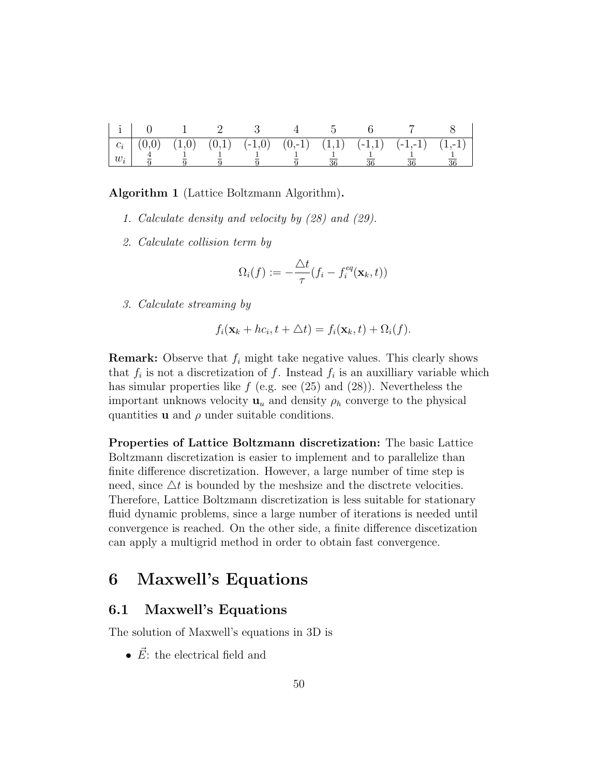|       |  |  |  | $\begin{bmatrix} c_i \ (0,0) \ (1,0) \ (0,1) \ (0,1) \ (-1,0) \ (0,-1) \ (1,1) \ (-1,1) \ (-1,-1) \ (1,-1) \end{bmatrix}$ |  |
|-------|--|--|--|---------------------------------------------------------------------------------------------------------------------------|--|
| $w_i$ |  |  |  |                                                                                                                           |  |

**Algorithm 1** (Lattice Boltzmann Algorithm)**.**

- *1. Calculate density and velocity by (28) and (29).*
- *2. Calculate collision term by*

$$
\Omega_i(f) := -\frac{\triangle t}{\tau}(f_i - f_i^{eq}(\mathbf{x}_k, t))
$$

*3. Calculate streaming by*

$$
f_i(\mathbf{x}_k + hc_i, t + \triangle t) = f_i(\mathbf{x}_k, t) + \Omega_i(f).
$$

**Remark:** Observe that *f<sup>i</sup>* might take negative values. This clearly shows that  $f_i$  is not a discretization of  $f$ . Instead  $f_i$  is an auxilliary variable which has simular properties like *f* (e.g. see (25) and (28)). Nevertheless the important unknows velocity  $\mathbf{u}_u$  and density  $\rho_h$  converge to the physical quantities  $\bf{u}$  and  $\rho$  under suitable conditions.

**Properties of Lattice Boltzmann discretization:** The basic Lattice Boltzmann discretization is easier to implement and to parallelize than finite difference discretization. However, a large number of time step is need, since  $\Delta t$  is bounded by the meshsize and the disctrete velocities. Therefore, Lattice Boltzmann discretization is less suitable for stationary fluid dynamic problems, since a large number of iterations is needed until convergence is reached. On the other side, a finite difference discetization can apply a multigrid method in order to obtain fast convergence.

## **6 Maxwell's Equations**

### **6.1 Maxwell's Equations**

The solution of Maxwell's equations in 3D is

•  $\vec{E}$ : the electrical field and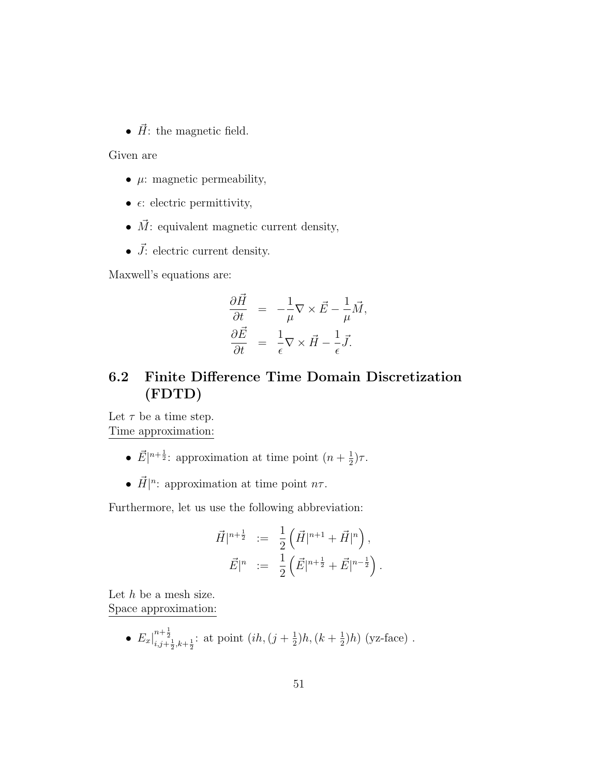•  $\vec{H}$ : the magnetic field.

Given are

- *• µ*: magnetic permeability,
- $\epsilon$ : electric permittivity,
- $\bullet$   $\vec{M} \colon$  equivalent magnetic current density,
- $\vec{J}$ : electric current density.

Maxwell's equations are:

$$
\frac{\partial \vec{H}}{\partial t} = -\frac{1}{\mu} \nabla \times \vec{E} - \frac{1}{\mu} \vec{M}, \n\frac{\partial \vec{E}}{\partial t} = \frac{1}{\epsilon} \nabla \times \vec{H} - \frac{1}{\epsilon} \vec{J}.
$$

## **6.2 Finite Difference Time Domain Discretization (FDTD)**

Let  $\tau$  be a time step. Time approximation:

- $\vec{E}|^{n+\frac{1}{2}}$ : approximation at time point  $(n+\frac{1}{2})$  $(\frac{1}{2})\tau$ .
- $\vec{H}|^n$ : approximation at time point  $n\tau$ .

Furthermore, let us use the following abbreviation:

$$
\vec{H}|^{n+\frac{1}{2}} \; := \; \frac{1}{2} \left( \vec{H}|^{n+1} + \vec{H}|^{n} \right),
$$
  

$$
\vec{E}|^{n} \; := \; \frac{1}{2} \left( \vec{E}|^{n+\frac{1}{2}} + \vec{E}|^{n-\frac{1}{2}} \right).
$$

Let *h* be a mesh size. Space approximation:

• 
$$
E_x|_{i,j+\frac{1}{2},k+\frac{1}{2}}^{n+\frac{1}{2}}
$$
: at point  $(ih, (j+\frac{1}{2})h, (k+\frac{1}{2})h)$  (yz-face).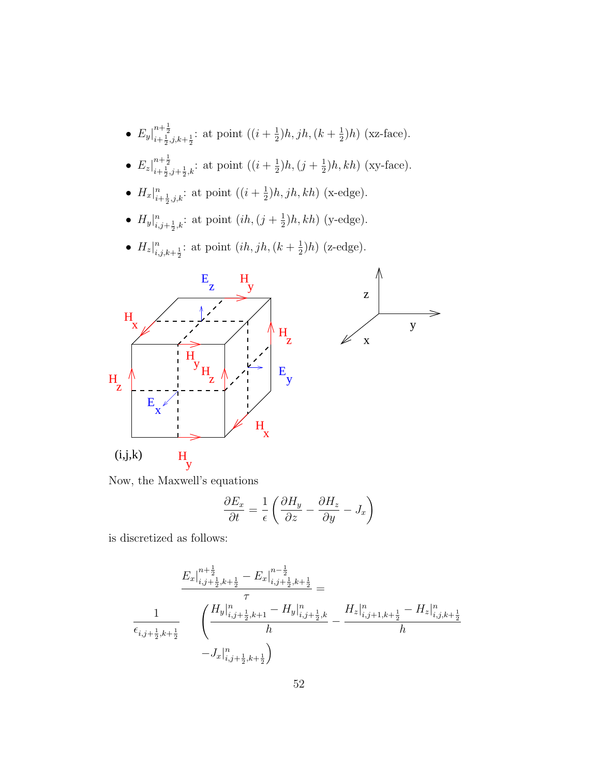- $E_y\big|_{i+\frac{1}{2},j,k+\frac{1}{2}}^{n+\frac{1}{2}}$ : at point  $((i+\frac{1}{2})$  $(\frac{1}{2})h, jh, (k+\frac{1}{2})$  $(\frac{1}{2})h)$  (xz-face).
- $E_z\big|_{i+\frac{1}{2},j+\frac{1}{2},k}^{n+\frac{1}{2}}$ : at point  $((i+\frac{1}{2})$  $(\frac{1}{2})h, (\frac{1}{2} + \frac{1}{2})$  $(\frac{1}{2})h, kh$  (xy-face).
- $H_x|_{i+\frac{1}{2},j,k}^n$ : at point  $((i+\frac{1}{2})$  $(\frac{1}{2})h, jh, kh)$  (x-edge).
- $H_y|_{i,j+\frac{1}{2},k}^n$ : at point  $(ih,(j+\frac{1}{2}))$  $(\frac{1}{2})h, kh$  (y-edge).
- $H_z|_{i,j,k+\frac{1}{2}}^n$ : at point  $(ih, jh, (k + \frac{1}{2})$  $(\frac{1}{2})h$  (z-edge).



Now, the Maxwell's equations

$$
\frac{\partial E_x}{\partial t} = \frac{1}{\epsilon} \left( \frac{\partial H_y}{\partial z} - \frac{\partial H_z}{\partial y} - J_x \right)
$$

is discretized as follows:

$$
\frac{E_x\Big|_{i,j+\frac{1}{2},k+\frac{1}{2}}^{n+\frac{1}{2}} - E_x\Big|_{i,j+\frac{1}{2},k+\frac{1}{2}}^{n-\frac{1}{2}}}{\tau} = \frac{\tau}{\epsilon_{i,j+\frac{1}{2},k+\frac{1}{2}}} \qquad \left(\frac{H_y\Big|_{i,j+\frac{1}{2},k+1}^{n} - H_y\Big|_{i,j+\frac{1}{2},k}^{n}}{h} - \frac{H_z\Big|_{i,j+1,k+\frac{1}{2}}^{n} - H_z\Big|_{i,j,k+\frac{1}{2}}^{n}}{h} \right)
$$